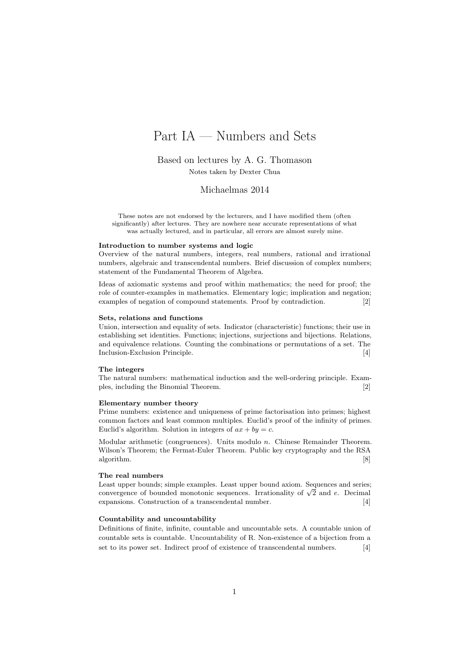# Part IA — Numbers and Sets

Based on lectures by A. G. Thomason Notes taken by Dexter Chua

Michaelmas 2014

These notes are not endorsed by the lecturers, and I have modified them (often significantly) after lectures. They are nowhere near accurate representations of what was actually lectured, and in particular, all errors are almost surely mine.

#### Introduction to number systems and logic

Overview of the natural numbers, integers, real numbers, rational and irrational numbers, algebraic and transcendental numbers. Brief discussion of complex numbers; statement of the Fundamental Theorem of Algebra.

Ideas of axiomatic systems and proof within mathematics; the need for proof; the role of counter-examples in mathematics. Elementary logic; implication and negation; examples of negation of compound statements. Proof by contradiction. [2]

#### Sets, relations and functions

Union, intersection and equality of sets. Indicator (characteristic) functions; their use in establishing set identities. Functions; injections, surjections and bijections. Relations, and equivalence relations. Counting the combinations or permutations of a set. The Inclusion-Exclusion Principle. [4]

#### The integers

The natural numbers: mathematical induction and the well-ordering principle. Examples, including the Binomial Theorem. [2]

#### Elementary number theory

Prime numbers: existence and uniqueness of prime factorisation into primes; highest common factors and least common multiples. Euclid's proof of the infinity of primes. Euclid's algorithm. Solution in integers of  $ax + by = c$ .

Modular arithmetic (congruences). Units modulo  $n$ . Chinese Remainder Theorem. Wilson's Theorem; the Fermat-Euler Theorem. Public key cryptography and the RSA algorithm. [8]

#### The real numbers

Least upper bounds; simple examples. Least upper bound axiom. Sequences and series; Least upper bounds; simple examples. Least upper bound axiom. Sequences and series convergence of bounded monotonic sequences. Irrationality of  $\sqrt{2}$  and e. Decimal expansions. Construction of a transcendental number. [4]

#### Countability and uncountability

Definitions of finite, infinite, countable and uncountable sets. A countable union of countable sets is countable. Uncountability of R. Non-existence of a bijection from a set to its power set. Indirect proof of existence of transcendental numbers. [4]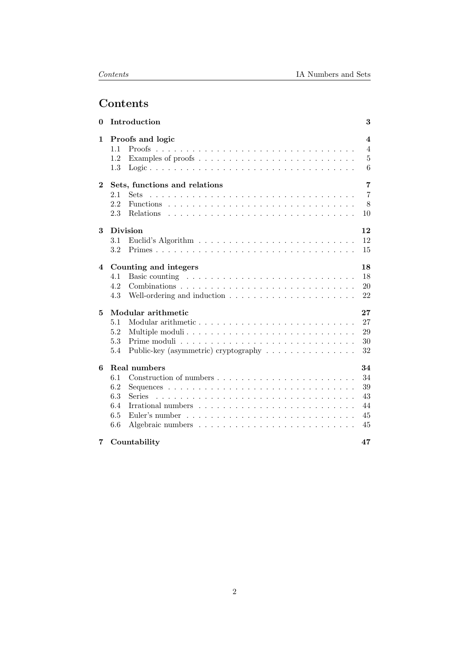# Contents

| Introduction                  | 3                                                                                                                                                                                                                                                                                                                                                       |
|-------------------------------|---------------------------------------------------------------------------------------------------------------------------------------------------------------------------------------------------------------------------------------------------------------------------------------------------------------------------------------------------------|
| Proofs and logic              | $\overline{\mathbf{4}}$                                                                                                                                                                                                                                                                                                                                 |
|                               | $\overline{4}$                                                                                                                                                                                                                                                                                                                                          |
|                               | $\overline{5}$                                                                                                                                                                                                                                                                                                                                          |
|                               | 6                                                                                                                                                                                                                                                                                                                                                       |
| Sets, functions and relations | 7                                                                                                                                                                                                                                                                                                                                                       |
| Sets<br>2.1                   | $\overline{7}$                                                                                                                                                                                                                                                                                                                                          |
| 2.2                           | 8                                                                                                                                                                                                                                                                                                                                                       |
| 2.3                           | 10                                                                                                                                                                                                                                                                                                                                                      |
| <b>Division</b>               | 12                                                                                                                                                                                                                                                                                                                                                      |
| 3.1                           | 12                                                                                                                                                                                                                                                                                                                                                      |
| 3.2                           | 15                                                                                                                                                                                                                                                                                                                                                      |
|                               | 18                                                                                                                                                                                                                                                                                                                                                      |
|                               | 18                                                                                                                                                                                                                                                                                                                                                      |
| 4.2                           | 20                                                                                                                                                                                                                                                                                                                                                      |
| 4.3                           | 22                                                                                                                                                                                                                                                                                                                                                      |
|                               | 27                                                                                                                                                                                                                                                                                                                                                      |
| 5.1                           | 27                                                                                                                                                                                                                                                                                                                                                      |
| 5.2                           | 29                                                                                                                                                                                                                                                                                                                                                      |
| 5.3                           | 30                                                                                                                                                                                                                                                                                                                                                      |
| 5.4                           | 32                                                                                                                                                                                                                                                                                                                                                      |
|                               | 34                                                                                                                                                                                                                                                                                                                                                      |
| 6.1                           | 34                                                                                                                                                                                                                                                                                                                                                      |
|                               | 39                                                                                                                                                                                                                                                                                                                                                      |
|                               | 43                                                                                                                                                                                                                                                                                                                                                      |
| 6.4                           | 44                                                                                                                                                                                                                                                                                                                                                      |
| 6.5                           | 45                                                                                                                                                                                                                                                                                                                                                      |
| 6.6                           | 45                                                                                                                                                                                                                                                                                                                                                      |
| Countability                  | 47                                                                                                                                                                                                                                                                                                                                                      |
|                               | 1.1<br>1.2<br>1.3<br>Counting and integers<br>Basic counting $\ldots \ldots \ldots \ldots \ldots \ldots \ldots \ldots \ldots$<br>4.1<br>Modular arithmetic<br>Public-key (asymmetric) cryptography $\dots \dots \dots \dots \dots$<br>Real numbers<br>6.2<br>6.3<br>Irrational numbers $\ldots \ldots \ldots \ldots \ldots \ldots \ldots \ldots \ldots$ |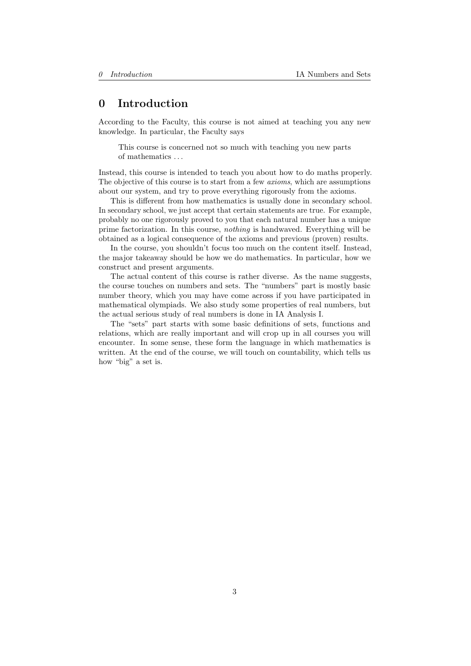# <span id="page-2-0"></span>0 Introduction

According to the Faculty, this course is not aimed at teaching you any new knowledge. In particular, the Faculty says

This course is concerned not so much with teaching you new parts of mathematics . . .

Instead, this course is intended to teach you about how to do maths properly. The objective of this course is to start from a few axioms, which are assumptions about our system, and try to prove everything rigorously from the axioms.

This is different from how mathematics is usually done in secondary school. In secondary school, we just accept that certain statements are true. For example, probably no one rigorously proved to you that each natural number has a unique prime factorization. In this course, nothing is handwaved. Everything will be obtained as a logical consequence of the axioms and previous (proven) results.

In the course, you shouldn't focus too much on the content itself. Instead, the major takeaway should be how we do mathematics. In particular, how we construct and present arguments.

The actual content of this course is rather diverse. As the name suggests, the course touches on numbers and sets. The "numbers" part is mostly basic number theory, which you may have come across if you have participated in mathematical olympiads. We also study some properties of real numbers, but the actual serious study of real numbers is done in IA Analysis I.

The "sets" part starts with some basic definitions of sets, functions and relations, which are really important and will crop up in all courses you will encounter. In some sense, these form the language in which mathematics is written. At the end of the course, we will touch on countability, which tells us how "big" a set is.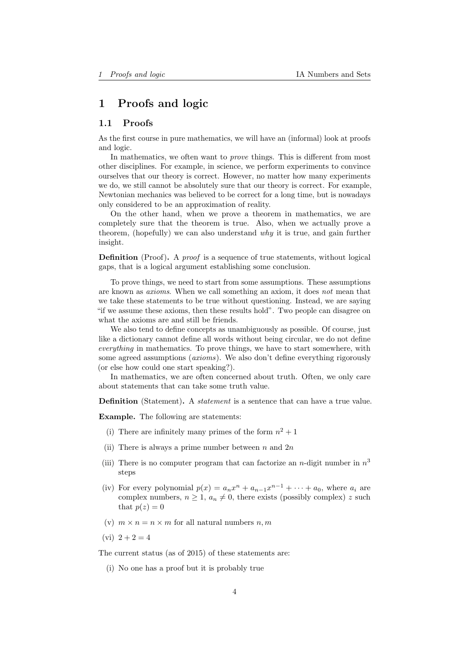# <span id="page-3-0"></span>1 Proofs and logic

### <span id="page-3-1"></span>1.1 Proofs

As the first course in pure mathematics, we will have an (informal) look at proofs and logic.

In mathematics, we often want to *prove* things. This is different from most other disciplines. For example, in science, we perform experiments to convince ourselves that our theory is correct. However, no matter how many experiments we do, we still cannot be absolutely sure that our theory is correct. For example, Newtonian mechanics was believed to be correct for a long time, but is nowadays only considered to be an approximation of reality.

On the other hand, when we prove a theorem in mathematics, we are completely sure that the theorem is true. Also, when we actually prove a theorem, (hopefully) we can also understand  $why$  it is true, and gain further insight.

**Definition** (Proof). A *proof* is a sequence of true statements, without logical gaps, that is a logical argument establishing some conclusion.

To prove things, we need to start from some assumptions. These assumptions are known as axioms. When we call something an axiom, it does not mean that we take these statements to be true without questioning. Instead, we are saying "if we assume these axioms, then these results hold". Two people can disagree on what the axioms are and still be friends.

We also tend to define concepts as unambiguously as possible. Of course, just like a dictionary cannot define all words without being circular, we do not define everything in mathematics. To prove things, we have to start somewhere, with some agreed assumptions (*axioms*). We also don't define everything rigorously (or else how could one start speaking?).

In mathematics, we are often concerned about truth. Often, we only care about statements that can take some truth value.

**Definition** (Statement). A *statement* is a sentence that can have a true value.

Example. The following are statements:

- (i) There are infinitely many primes of the form  $n^2 + 1$
- (ii) There is always a prime number between n and  $2n$
- (iii) There is no computer program that can factorize an *n*-digit number in  $n^3$ steps
- (iv) For every polynomial  $p(x) = a_n x^n + a_{n-1} x^{n-1} + \cdots + a_0$ , where  $a_i$  are complex numbers,  $n \geq 1$ ,  $a_n \neq 0$ , there exists (possibly complex) z such that  $p(z) = 0$
- (v)  $m \times n = n \times m$  for all natural numbers n, m
- $(vi)$  2 + 2 = 4

The current status (as of 2015) of these statements are:

(i) No one has a proof but it is probably true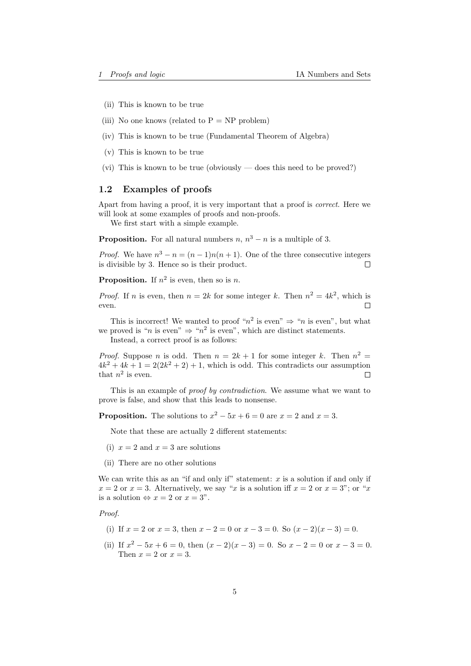- (ii) This is known to be true
- (iii) No one knows (related to  $P = NP$  problem)
- (iv) This is known to be true (Fundamental Theorem of Algebra)
- (v) This is known to be true
- (vi) This is known to be true (obviously does this need to be proved?)

#### <span id="page-4-0"></span>1.2 Examples of proofs

Apart from having a proof, it is very important that a proof is correct. Here we will look at some examples of proofs and non-proofs.

We first start with a simple example.

**Proposition.** For all natural numbers  $n, n^3 - n$  is a multiple of 3.

*Proof.* We have  $n^3 - n = (n-1)n(n+1)$ . One of the three consecutive integers is divisible by 3. Hence so is their product.  $\Box$ 

**Proposition.** If  $n^2$  is even, then so is *n*.

*Proof.* If *n* is even, then  $n = 2k$  for some integer k. Then  $n^2 = 4k^2$ , which is even.  $\Box$ 

This is incorrect! We wanted to proof " $n^2$  is even"  $\Rightarrow$  "n is even", but what we proved is "*n* is even"  $\Rightarrow$  "*n*<sup>2</sup> is even", which are distinct statements.

Instead, a correct proof is as follows:

*Proof.* Suppose *n* is odd. Then  $n = 2k + 1$  for some integer k. Then  $n^2 =$  $4k^2 + 4k + 1 = 2(2k^2 + 2) + 1$ , which is odd. This contradicts our assumption that  $n^2$  is even.  $\Box$ 

This is an example of *proof by contradiction*. We assume what we want to prove is false, and show that this leads to nonsense.

**Proposition.** The solutions to  $x^2 - 5x + 6 = 0$  are  $x = 2$  and  $x = 3$ .

Note that these are actually 2 different statements:

- (i)  $x = 2$  and  $x = 3$  are solutions
- (ii) There are no other solutions

We can write this as an "if and only if" statement:  $x$  is a solution if and only if  $x = 2$  or  $x = 3$ . Alternatively, we say "x is a solution iff  $x = 2$  or  $x = 3$ "; or "x is a solution  $\Leftrightarrow x = 2$  or  $x = 3$ ".

Proof.

- (i) If  $x = 2$  or  $x = 3$ , then  $x 2 = 0$  or  $x 3 = 0$ . So  $(x 2)(x 3) = 0$ .
- (ii) If  $x^2 5x + 6 = 0$ , then  $(x 2)(x 3) = 0$ . So  $x 2 = 0$  or  $x 3 = 0$ . Then  $x = 2$  or  $x = 3$ .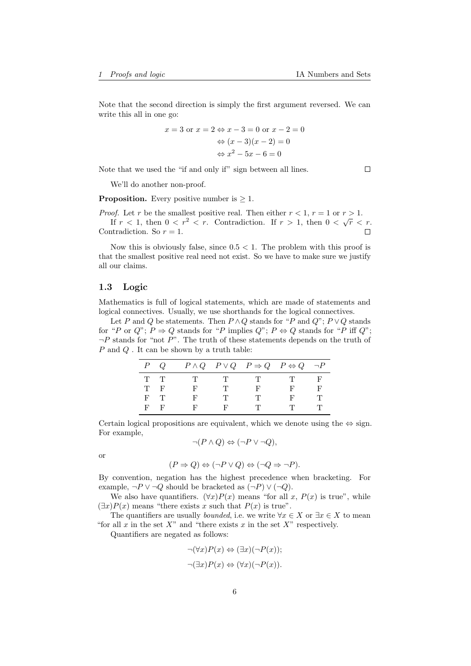Note that the second direction is simply the first argument reversed. We can write this all in one go:

$$
x = 3 \text{ or } x = 2 \Leftrightarrow x - 3 = 0 \text{ or } x - 2 = 0
$$

$$
\Leftrightarrow (x - 3)(x - 2) = 0
$$

$$
\Leftrightarrow x^2 - 5x - 6 = 0
$$

Note that we used the "if and only if" sign between all lines.

We'll do another non-proof.

**Proposition.** Every positive number is  $> 1$ .

*Proof.* Let r be the smallest positive real. Then either  $r < 1$ ,  $r = 1$  or  $r > 1$ . If  $r < 1$ , then  $0 < r^2 < r$ . Contradiction. If  $r > 1$ , then  $0 < \sqrt{r} < r$ . Contradiction. So  $r = 1$ .  $\Box$ 

Now this is obviously false, since  $0.5 < 1$ . The problem with this proof is that the smallest positive real need not exist. So we have to make sure we justify all our claims.

#### <span id="page-5-0"></span>1.3 Logic

Mathematics is full of logical statements, which are made of statements and logical connectives. Usually, we use shorthands for the logical connectives.

Let P and Q be statements. Then  $P \wedge Q$  stands for "P and  $Q$ ";  $P \vee Q$  stands for "P or Q";  $P \Rightarrow Q$  stands for "P implies Q";  $P \Leftrightarrow Q$  stands for "P iff Q";  $\neg P$  stands for "not  $P$ ". The truth of these statements depends on the truth of  $P$  and  $Q$ . It can be shown by a truth table:

|       | $P$ Q   |   |              | $P \wedge Q$ $P \vee Q$ $P \Rightarrow Q$ $P \Leftrightarrow Q$ $\neg P$ |          |      |
|-------|---------|---|--------------|--------------------------------------------------------------------------|----------|------|
| T T   |         | T | $\mathbf{T}$ | $\mathbf{T}$                                                             | - TV - 1 | . н. |
|       | T F     | F | T            | - H'                                                                     |          |      |
| $F$ T |         | F | T            |                                                                          |          |      |
|       | $F - F$ | F | F            |                                                                          |          |      |

Certain logical propositions are equivalent, which we denote using the  $\Leftrightarrow$  sign. For example,

$$
\neg (P \land Q) \Leftrightarrow (\neg P \lor \neg Q),
$$

or

$$
(P \Rightarrow Q) \Leftrightarrow (\neg P \lor Q) \Leftrightarrow (\neg Q \Rightarrow \neg P).
$$

By convention, negation has the highest precedence when bracketing. For example,  $\neg P \lor \neg Q$  should be bracketed as  $(\neg P) \lor (\neg Q)$ .

We also have quantifiers.  $(\forall x)P(x)$  means "for all x,  $P(x)$  is true", while  $(\exists x)P(x)$  means "there exists x such that  $P(x)$  is true".

The quantifiers are usually *bounded*, i.e. we write  $\forall x \in X$  or  $\exists x \in X$  to mean "for all x in the set  $X$ " and "there exists x in the set  $X$ " respectively.

Quantifiers are negated as follows:

$$
\neg(\forall x)P(x) \Leftrightarrow (\exists x)(\neg P(x));
$$
  

$$
\neg(\exists x)P(x) \Leftrightarrow (\forall x)(\neg P(x)).
$$

 $\Box$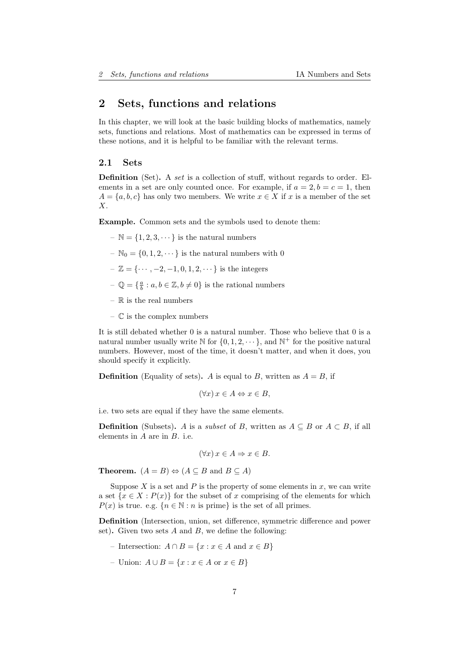# <span id="page-6-0"></span>2 Sets, functions and relations

In this chapter, we will look at the basic building blocks of mathematics, namely sets, functions and relations. Most of mathematics can be expressed in terms of these notions, and it is helpful to be familiar with the relevant terms.

### <span id="page-6-1"></span>2.1 Sets

Definition (Set). A set is a collection of stuff, without regards to order. Elements in a set are only counted once. For example, if  $a = 2, b = c = 1$ , then  $A = \{a, b, c\}$  has only two members. We write  $x \in X$  if x is a member of the set X.

Example. Common sets and the symbols used to denote them:

- $\mathbb{N} = \{1, 2, 3, \dots\}$  is the natural numbers
- $\mathbb{N}_0 = \{0, 1, 2, \dots\}$  is the natural numbers with 0
- $Z = \{ \cdots, -2, -1, 0, 1, 2, \cdots \}$  is the integers
- $-\mathbb{Q} = \{\frac{a}{b} : a, b \in \mathbb{Z}, b \neq 0\}$  is the rational numbers
- $\mathbb{R}$  is the real numbers
- $\mathbb C$  is the complex numbers

It is still debated whether 0 is a natural number. Those who believe that 0 is a natural number usually write  $\mathbb N$  for  $\{0, 1, 2, \dots\}$ , and  $\mathbb N^+$  for the positive natural numbers. However, most of the time, it doesn't matter, and when it does, you should specify it explicitly.

**Definition** (Equality of sets). A is equal to B, written as  $A = B$ , if

$$
(\forall x) x \in A \Leftrightarrow x \in B,
$$

i.e. two sets are equal if they have the same elements.

**Definition** (Subsets). A is a *subset* of B, written as  $A \subseteq B$  or  $A \subset B$ , if all elements in A are in B. i.e.

$$
(\forall x) x \in A \Rightarrow x \in B.
$$

**Theorem.**  $(A = B) \Leftrightarrow (A \subseteq B \text{ and } B \subseteq A)$ 

Suppose  $X$  is a set and  $P$  is the property of some elements in  $x$ , we can write a set  $\{x \in X : P(x)\}$  for the subset of x comprising of the elements for which  $P(x)$  is true. e.g.  $\{n \in \mathbb{N} : n \text{ is prime}\}$  is the set of all primes.

Definition (Intersection, union, set difference, symmetric difference and power set). Given two sets  $A$  and  $B$ , we define the following:

- Intersection:  $A \cap B = \{x : x \in A \text{ and } x \in B\}$
- Union: A ∪ B = {x : x ∈ A or x ∈ B}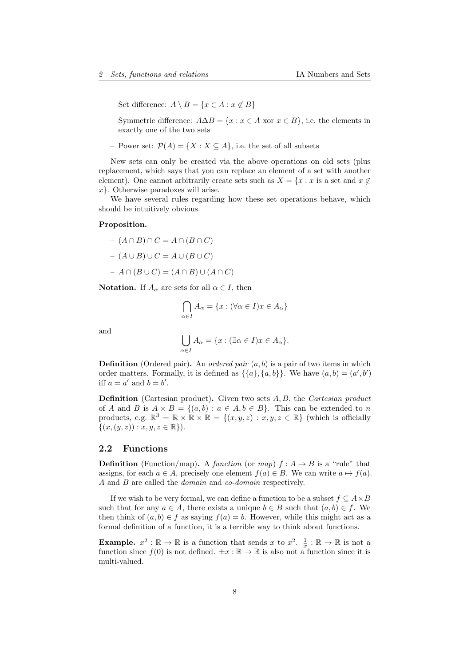- Set difference:  $A \setminus B = \{x \in A : x \notin B\}$
- Symmetric difference:  $A\Delta B = \{x : x \in A \text{ xor } x \in B\}$ , i.e. the elements in exactly one of the two sets
- Power set:  $\mathcal{P}(A) = \{X : X \subseteq A\}$ , i.e. the set of all subsets

New sets can only be created via the above operations on old sets (plus replacement, which says that you can replace an element of a set with another element). One cannot arbitrarily create sets such as  $X = \{x : x$  is a set and  $x \notin \mathbb{R}$ x}. Otherwise paradoxes will arise.

We have several rules regarding how these set operations behave, which should be intuitively obvious.

#### Proposition.

$$
- (A \cap B) \cap C = A \cap (B \cap C)
$$

$$
- (A \cup B) \cup C = A \cup (B \cup C)
$$

$$
- A \cap (B \cup C) = (A \cap B) \cup (A \cap C)
$$

**Notation.** If  $A_{\alpha}$  are sets for all  $\alpha \in I$ , then

$$
\bigcap_{\alpha \in I} A_{\alpha} = \{x : (\forall \alpha \in I) x \in A_{\alpha}\}\
$$

and

$$
\bigcup_{\alpha \in I} A_{\alpha} = \{x : (\exists \alpha \in I) x \in A_{\alpha} \}.
$$

**Definition** (Ordered pair). An *ordered pair*  $(a, b)$  is a pair of two items in which order matters. Formally, it is defined as  $\{\{a\}, \{a, b\}\}\$ . We have  $(a, b) = (a', b')$ iff  $a = a'$  and  $b = b'$ .

Definition (Cartesian product). Given two sets A, B, the Cartesian product of A and B is  $A \times B = \{(a, b) : a \in A, b \in B\}$ . This can be extended to n products, e.g.  $\mathbb{R}^3 = \mathbb{R} \times \mathbb{R} \times \mathbb{R} = \{(x, y, z) : x, y, z \in \mathbb{R}\}\)$  (which is officially  $\{(x,(y,z)) : x, y, z \in \mathbb{R}\}.$ 

### <span id="page-7-0"></span>2.2 Functions

**Definition** (Function/map). A function (or map)  $f : A \rightarrow B$  is a "rule" that assigns, for each  $a \in A$ , precisely one element  $f(a) \in B$ . We can write  $a \mapsto f(a)$ . A and B are called the domain and co-domain respectively.

If we wish to be very formal, we can define a function to be a subset  $f \subseteq A \times B$ such that for any  $a \in A$ , there exists a unique  $b \in B$  such that  $(a, b) \in f$ . We then think of  $(a, b) \in f$  as saying  $f(a) = b$ . However, while this might act as a formal definition of a function, it is a terrible way to think about functions.

**Example.**  $x^2 : \mathbb{R} \to \mathbb{R}$  is a function that sends x to  $x^2$ .  $\frac{1}{x} : \mathbb{R} \to \mathbb{R}$  is not a function since  $f(0)$  is not defined.  $\pm x : \mathbb{R} \to \mathbb{R}$  is also not a function since it is multi-valued.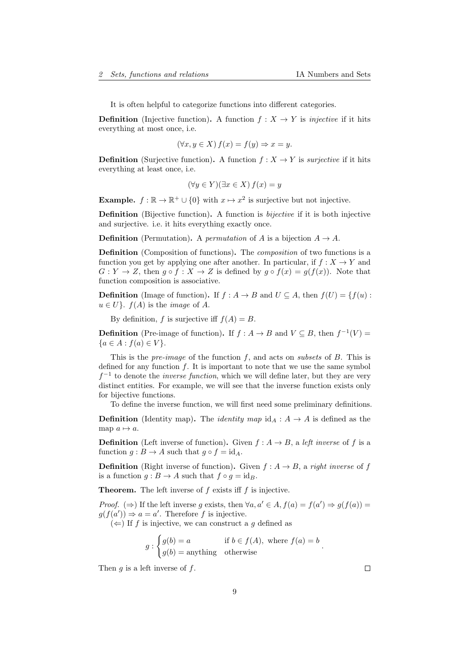It is often helpful to categorize functions into different categories.

**Definition** (Injective function). A function  $f : X \to Y$  is *injective* if it hits everything at most once, i.e.

$$
(\forall x, y \in X) f(x) = f(y) \Rightarrow x = y.
$$

**Definition** (Surjective function). A function  $f : X \to Y$  is *surjective* if it hits everything at least once, i.e.

$$
(\forall y \in Y)(\exists x \in X) f(x) = y
$$

**Example.**  $f : \mathbb{R} \to \mathbb{R}^+ \cup \{0\}$  with  $x \mapsto x^2$  is surjective but not injective.

Definition (Bijective function). A function is bijective if it is both injective and surjective. i.e. it hits everything exactly once.

**Definition** (Permutation). A *permutation* of A is a bijection  $A \rightarrow A$ .

Definition (Composition of functions). The *composition* of two functions is a function you get by applying one after another. In particular, if  $f: X \to Y$  and  $G: Y \to Z$ , then  $g \circ f : X \to Z$  is defined by  $g \circ f(x) = g(f(x))$ . Note that function composition is associative.

**Definition** (Image of function). If  $f : A \to B$  and  $U \subseteq A$ , then  $f(U) = \{f(u):$  $u \in U$ .  $f(A)$  is the *image* of A.

By definition, f is surjective iff  $f(A) = B$ .

**Definition** (Pre-image of function). If  $f : A \to B$  and  $V \subseteq B$ , then  $f^{-1}(V) =$  ${a \in A : f(a) \in V}.$ 

This is the *pre-image* of the function  $f$ , and acts on *subsets* of  $B$ . This is defined for any function  $f$ . It is important to note that we use the same symbol  $f^{-1}$  to denote the *inverse function*, which we will define later, but they are very distinct entities. For example, we will see that the inverse function exists only for bijective functions.

To define the inverse function, we will first need some preliminary definitions.

**Definition** (Identity map). The *identity map*  $id_A : A \rightarrow A$  is defined as the map  $a \mapsto a$ .

**Definition** (Left inverse of function). Given  $f : A \rightarrow B$ , a left inverse of f is a function  $g : B \to A$  such that  $g \circ f = id_A$ .

**Definition** (Right inverse of function). Given  $f : A \rightarrow B$ , a right inverse of f is a function  $g : B \to A$  such that  $f \circ g = id_B$ .

**Theorem.** The left inverse of  $f$  exists iff  $f$  is injective.

*Proof.* ( $\Rightarrow$ ) If the left inverse g exists, then  $\forall a, a' \in A, f(a) = f(a') \Rightarrow g(f(a)) =$  $g(f(a')) \Rightarrow a = a'$ . Therefore f is injective.

 $(\Leftarrow)$  If f is injective, we can construct a g defined as

$$
g: \begin{cases} g(b) = a & \text{if } b \in f(A), \text{ where } f(a) = b \\ g(b) = \text{anything} & \text{otherwise} \end{cases}.
$$

Then  $q$  is a left inverse of  $f$ .

 $\Box$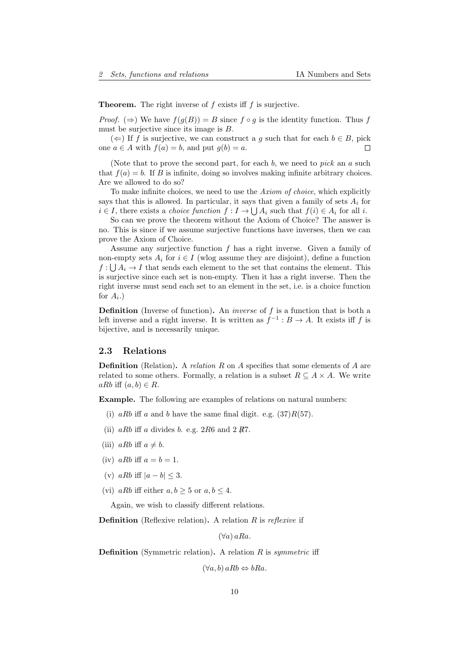**Theorem.** The right inverse of  $f$  exists iff  $f$  is surjective.

*Proof.* ( $\Rightarrow$ ) We have  $f(g(B)) = B$  since  $f \circ g$  is the identity function. Thus f must be surjective since its image is B.

(←) If f is surjective, we can construct a g such that for each  $b \in B$ , pick one  $a \in A$  with  $f(a) = b$ , and put  $g(b) = a$ .  $\Box$ 

(Note that to prove the second part, for each  $b$ , we need to  $pick$  an  $a$  such that  $f(a) = b$ . If B is infinite, doing so involves making infinite arbitrary choices. Are we allowed to do so?

To make infinite choices, we need to use the Axiom of choice, which explicitly says that this is allowed. In particular, it says that given a family of sets  $A_i$  for  $i \in I$ , there exists a *choice function*  $f: I \to \bigcup A_i$  such that  $f(i) \in A_i$  for all i.

So can we prove the theorem without the Axiom of Choice? The answer is no. This is since if we assume surjective functions have inverses, then we can prove the Axiom of Choice.

Assume any surjective function  $f$  has a right inverse. Given a family of non-empty sets  $A_i$  for  $i \in I$  (wlog assume they are disjoint), define a function  $f: \bigcup A_i \to I$  that sends each element to the set that contains the element. This is surjective since each set is non-empty. Then it has a right inverse. Then the right inverse must send each set to an element in the set, i.e. is a choice function for  $A_i$ .)

**Definition** (Inverse of function). An *inverse* of  $f$  is a function that is both a left inverse and a right inverse. It is written as  $f^{-1}: B \to A$ . It exists iff f is bijective, and is necessarily unique.

#### <span id="page-9-0"></span>2.3 Relations

**Definition** (Relation). A relation R on A specifies that some elements of A are related to some others. Formally, a relation is a subset  $R \subseteq A \times A$ . We write aRb iff  $(a, b) \in R$ .

Example. The following are examples of relations on natural numbers:

- (i) aRb iff a and b have the same final digit. e.g.  $(37)R(57)$ .
- (ii)  $aRb$  iff a divides b. e.g. 2R6 and 2  $\cancel{R}7$ .
- (iii) aRb iff  $a \neq b$ .
- (iv) aRb iff  $a = b = 1$ .
- (v)  $aRb$  iff  $|a-b| < 3$ .
- (vi) aRb iff either  $a, b > 5$  or  $a, b < 4$ .

Again, we wish to classify different relations.

**Definition** (Reflexive relation). A relation  $R$  is reflexive if

 $(\forall a)$  aRa.

**Definition** (Symmetric relation). A relation  $R$  is *symmetric* iff

 $(\forall a, b) a R b \Leftrightarrow b R a$ .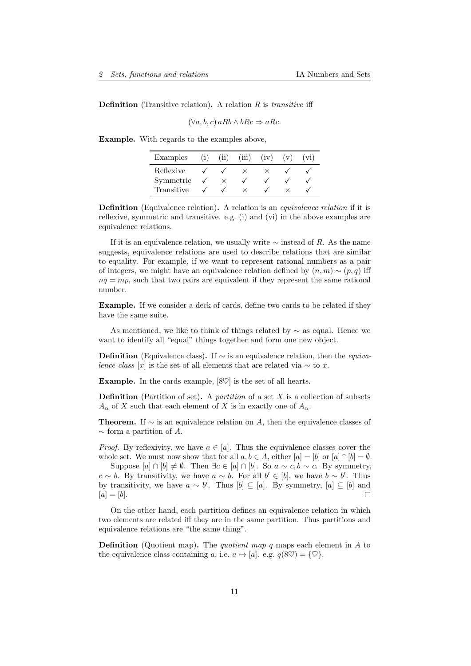#### **Definition** (Transitive relation). A relation  $R$  is *transitive* iff

$$
(\forall a, b, c) a R b \land b R c \Rightarrow a R c.
$$

Example. With regards to the examples above,

| Examples   | (ii) | (iii) | (iv) | (v) | $\rm{v1)}$ |
|------------|------|-------|------|-----|------------|
| Reflexive  |      |       |      |     |            |
| Symmetric  |      |       |      |     |            |
| Transitive |      |       |      |     |            |

Definition (Equivalence relation). A relation is an *equivalence relation* if it is reflexive, symmetric and transitive. e.g. (i) and (vi) in the above examples are equivalence relations.

If it is an equivalence relation, we usually write  $\sim$  instead of R. As the name suggests, equivalence relations are used to describe relations that are similar to equality. For example, if we want to represent rational numbers as a pair of integers, we might have an equivalence relation defined by  $(n, m) \sim (p, q)$  iff  $nq = mp$ , such that two pairs are equivalent if they represent the same rational number.

Example. If we consider a deck of cards, define two cards to be related if they have the same suite.

As mentioned, we like to think of things related by  $\sim$  as equal. Hence we want to identify all "equal" things together and form one new object.

**Definition** (Equivalence class). If  $\sim$  is an equivalence relation, then the *equiva*lence class [x] is the set of all elements that are related via  $\sim$  to x.

Example. In the cards example,  $[8\heartsuit]$  is the set of all hearts.

**Definition** (Partition of set). A *partition* of a set  $X$  is a collection of subsets  $A_{\alpha}$  of X such that each element of X is in exactly one of  $A_{\alpha}$ .

**Theorem.** If  $\sim$  is an equivalence relation on A, then the equivalence classes of  $\sim$  form a partition of A.

*Proof.* By reflexivity, we have  $a \in [a]$ . Thus the equivalence classes cover the whole set. We must now show that for all  $a, b \in A$ , either  $[a] = [b]$  or  $[a] \cap [b] = \emptyset$ .

Suppose  $[a] \cap [b] \neq \emptyset$ . Then  $\exists c \in [a] \cap [b]$ . So  $a \sim c, b \sim c$ . By symmetry,  $c \sim b$ . By transitivity, we have  $a \sim b$ . For all  $b' \in [b]$ , we have  $b \sim b'$ . Thus by transitivity, we have  $a \sim b'$ . Thus  $[b] \subseteq [a]$ . By symmetry,  $[a] \subseteq [b]$  and  $[a] = [b].$  $\Box$ 

On the other hand, each partition defines an equivalence relation in which two elements are related iff they are in the same partition. Thus partitions and equivalence relations are "the same thing".

**Definition** (Quotient map). The *quotient map q* maps each element in  $A$  to the equivalence class containing a, i.e.  $a \mapsto [a]$ . e.g.  $q(8\heartsuit) = {\heartsuit}$ .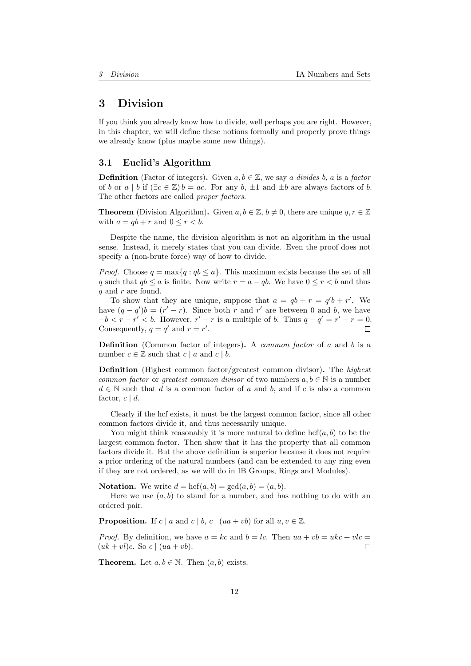# <span id="page-11-0"></span>3 Division

If you think you already know how to divide, well perhaps you are right. However, in this chapter, we will define these notions formally and properly prove things we already know (plus maybe some new things).

### <span id="page-11-1"></span>3.1 Euclid's Algorithm

**Definition** (Factor of integers). Given  $a, b \in \mathbb{Z}$ , we say a divides b, a is a factor of b or a | b if  $(\exists c \in \mathbb{Z})$  b = ac. For any b,  $\pm 1$  and  $\pm b$  are always factors of b. The other factors are called proper factors.

**Theorem** (Division Algorithm). Given  $a, b \in \mathbb{Z}$ ,  $b \neq 0$ , there are unique  $q, r \in \mathbb{Z}$ with  $a = qb + r$  and  $0 \le r \le b$ .

Despite the name, the division algorithm is not an algorithm in the usual sense. Instead, it merely states that you can divide. Even the proof does not specify a (non-brute force) way of how to divide.

*Proof.* Choose  $q = \max\{q : qb \leq a\}$ . This maximum exists because the set of all q such that  $qb \leq a$  is finite. Now write  $r = a - qb$ . We have  $0 \leq r < b$  and thus q and r are found.

To show that they are unique, suppose that  $a = qb + r = q'b + r'$ . We have  $(q - q')b = (r' - r)$ . Since both r and r' are between 0 and b, we have  $-b < r - r' < b$ . However,  $r' - r$  is a multiple of b. Thus  $q - q' = r' - r = 0$ . Consequently,  $q = q'$  and  $r = r'$ . П

Definition (Common factor of integers). A *common factor* of a and b is a number  $c \in \mathbb{Z}$  such that  $c \mid a$  and  $c \mid b$ .

Definition (Highest common factor/greatest common divisor). The highest common factor or greatest common divisor of two numbers  $a, b \in \mathbb{N}$  is a number  $d \in \mathbb{N}$  such that d is a common factor of a and b, and if c is also a common factor,  $c \mid d$ .

Clearly if the hcf exists, it must be the largest common factor, since all other common factors divide it, and thus necessarily unique.

You might think reasonably it is more natural to define  $\mathrm{hcf}(a, b)$  to be the largest common factor. Then show that it has the property that all common factors divide it. But the above definition is superior because it does not require a prior ordering of the natural numbers (and can be extended to any ring even if they are not ordered, as we will do in IB Groups, Rings and Modules).

**Notation.** We write  $d = \text{hcf}(a, b) = \text{gcd}(a, b) = (a, b)$ .

Here we use  $(a, b)$  to stand for a number, and has nothing to do with an ordered pair.

**Proposition.** If c | a and c | b, c |  $(ua + vb)$  for all  $u, v \in \mathbb{Z}$ .

*Proof.* By definition, we have  $a = kc$  and  $b = lc$ . Then  $ua + vb = ukc + vlc =$  $(uk + vl)c$ . So  $c \mid (ua + vb)$ . П

**Theorem.** Let  $a, b \in \mathbb{N}$ . Then  $(a, b)$  exists.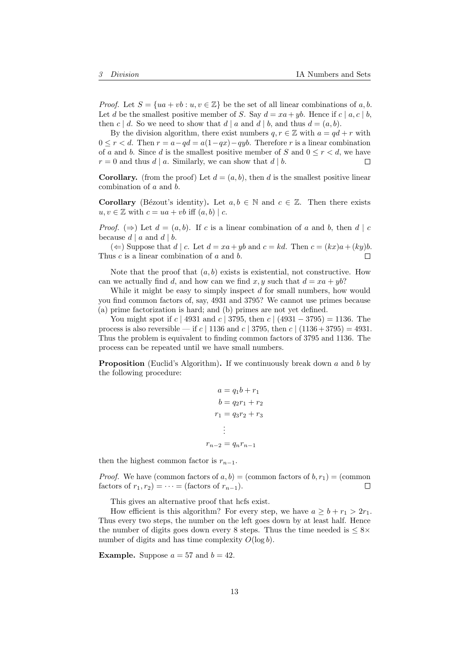*Proof.* Let  $S = \{ua + vb : u, v \in \mathbb{Z}\}\$ be the set of all linear combinations of a, b. Let d be the smallest positive member of S. Say  $d = xa + yb$ . Hence if  $c | a, c | b$ , then c | d. So we need to show that d | a and d | b, and thus  $d = (a, b)$ .

By the division algorithm, there exist numbers  $q, r \in \mathbb{Z}$  with  $a = qd + r$  with  $0 \leq r < d$ . Then  $r = a - qd = a(1-qx) - qyb$ . Therefore r is a linear combination of a and b. Since d is the smallest positive member of S and  $0 \leq r \leq d$ , we have  $r = 0$  and thus d | a. Similarly, we can show that d | b. □

**Corollary.** (from the proof) Let  $d = (a, b)$ , then d is the smallest positive linear combination of a and b.

**Corollary** (Bézout's identity). Let  $a, b \in \mathbb{N}$  and  $c \in \mathbb{Z}$ . Then there exists  $u, v \in \mathbb{Z}$  with  $c = ua + vb$  iff  $(a, b) \mid c$ .

*Proof.* ( $\Rightarrow$ ) Let  $d = (a, b)$ . If c is a linear combination of a and b, then d | c because  $d | a$  and  $d | b$ .

(  $\Leftarrow$  ) Suppose that *d* | *c*. Let *d* = *xa* + *yb* and *c* = *kd*. Then *c* = (*kx*)*a* + (*ky*)*b*. Thus c is a linear combination of a and b.  $\Box$ 

Note that the proof that  $(a, b)$  exists is existential, not constructive. How can we actually find d, and how can we find x, y such that  $d = xa + yb$ ?

While it might be easy to simply inspect  $d$  for small numbers, how would you find common factors of, say, 4931 and 3795? We cannot use primes because (a) prime factorization is hard; and (b) primes are not yet defined.

You might spot if c | 4931 and c | 3795, then c | (4931 – 3795) = 1136. The process is also reversible — if c | 1136 and c | 3795, then c |  $(1136 + 3795) = 4931$ . Thus the problem is equivalent to finding common factors of 3795 and 1136. The process can be repeated until we have small numbers.

**Proposition** (Euclid's Algorithm). If we continuously break down a and b by the following procedure:

$$
a = q_1b + r_1
$$
  
\n
$$
b = q_2r_1 + r_2
$$
  
\n
$$
r_1 = q_3r_2 + r_3
$$
  
\n
$$
\vdots
$$
  
\n
$$
r_{n-2} = q_nr_{n-1}
$$

then the highest common factor is  $r_{n-1}$ .

*Proof.* We have (common factors of  $a, b$ ) = (common factors of  $b, r_1$ ) = (common factors of  $r_1, r_2$ ) =  $\cdots$  = (factors of  $r_{n-1}$ ).  $\Box$ 

This gives an alternative proof that hcfs exist.

How efficient is this algorithm? For every step, we have  $a \geq b + r_1 > 2r_1$ . Thus every two steps, the number on the left goes down by at least half. Hence the number of digits goes down every 8 steps. Thus the time needed is  $\leq 8 \times$ number of digits and has time complexity  $O(\log b)$ .

**Example.** Suppose  $a = 57$  and  $b = 42$ .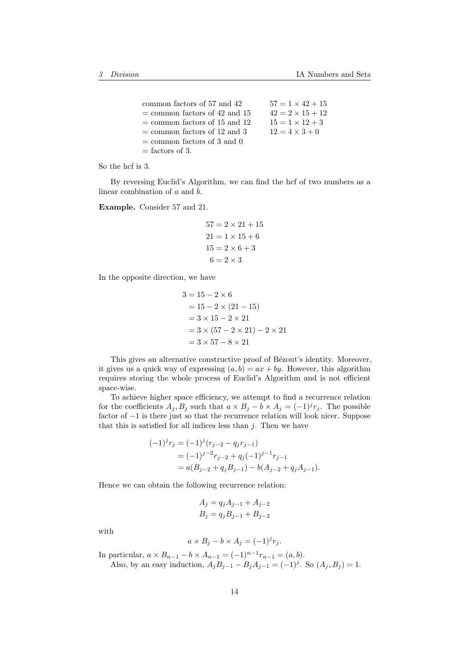| common factors of 57 and 42     | $57 = 1 \times 42 + 15$ |
|---------------------------------|-------------------------|
| $=$ common factors of 42 and 15 | $42 = 2 \times 15 + 12$ |
| $=$ common factors of 15 and 12 | $15 = 1 \times 12 + 3$  |
| $=$ common factors of 12 and 3  | $12 = 4 \times 3 + 0$   |
| $=$ common factors of 3 and 0   |                         |
| $=$ factors of 3.               |                         |

So the hcf is 3.

By reversing Euclid's Algorithm, we can find the hcf of two numbers as a linear combination of a and b.

Example. Consider 57 and 21.

$$
57 = 2 \times 21 + 15
$$

$$
21 = 1 \times 15 + 6
$$

$$
15 = 2 \times 6 + 3
$$

$$
6 = 2 \times 3
$$

In the opposite direction, we have

$$
3 = 15 - 2 \times 6
$$
  
= 15 - 2 \times (21 - 15)  
= 3 \times 15 - 2 \times 21  
= 3 \times (57 - 2 \times 21) - 2 \times 21  
= 3 \times 57 - 8 \times 21

This gives an alternative constructive proof of Bézout's identity. Moreover, it gives us a quick way of expressing  $(a, b) = ax + by$ . However, this algorithm requires storing the whole process of Euclid's Algorithm and is not efficient space-wise.

To achieve higher space efficiency, we attempt to find a recurrence relation for the coefficients  $A_j$ ,  $B_j$  such that  $a \times B_j - b \times A_j = (-1)^j r_j$ . The possible factor of −1 is there just so that the recurrence relation will look nicer. Suppose that this is satisfied for all indices less than  $j$ . Then we have

$$
(-1)^{j}r_{j} = (-1)^{j}(r_{j-2} - q_{j}r_{j-1})
$$
  
=  $(-1)^{j-2}r_{j-2} + q_{j}(-1)^{j-1}r_{j-1}$   
=  $a(B_{j-2} + q_{j}B_{j-1}) - b(A_{j-2} + q_{j}A_{j-1}).$ 

Hence we can obtain the following recurrence relation:

$$
A_j = q_j A_{j-1} + A_{j-2}
$$
  

$$
B_j = q_j B_{j-1} + B_{j-2}
$$

with

$$
a \times B_j - b \times A_j = (-1)^j r_j.
$$

In particular,  $a \times B_{n-1} - b \times A_{n-1} = (-1)^{n-1} r_{n-1} = (a, b)$ . Also, by an easy induction,  $A_j B_{j-1} - B_j A_{j-1} = (-1)^j$ . So  $(A_j, B_j) = 1$ .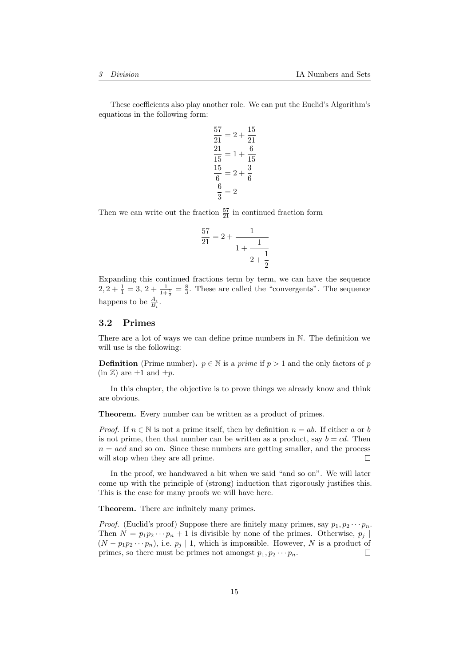These coefficients also play another role. We can put the Euclid's Algorithm's equations in the following form:

$$
\frac{57}{21} = 2 + \frac{15}{21}
$$

$$
\frac{21}{15} = 1 + \frac{6}{15}
$$

$$
\frac{15}{6} = 2 + \frac{3}{6}
$$

$$
\frac{6}{3} = 2
$$

Then we can write out the fraction  $\frac{57}{21}$  in continued fraction form

$$
\frac{57}{21} = 2 + \cfrac{1}{1 + \cfrac{1}{2 + \cfrac{1}{2}}}
$$

Expanding this continued fractions term by term, we can have the sequence  $2, 2 + \frac{1}{1} = 3, 2 + \frac{1}{1+\frac{1}{2}} = \frac{8}{3}$ . These are called the "convergents". The sequence happens to be  $\frac{A_i}{B_i}$ .

#### <span id="page-14-0"></span>3.2 Primes

There are a lot of ways we can define prime numbers in N. The definition we will use is the following:

**Definition** (Prime number).  $p \in \mathbb{N}$  is a *prime* if  $p > 1$  and the only factors of p  $(in \mathbb{Z})$  are  $\pm 1$  and  $\pm p$ .

In this chapter, the objective is to prove things we already know and think are obvious.

Theorem. Every number can be written as a product of primes.

*Proof.* If  $n \in \mathbb{N}$  is not a prime itself, then by definition  $n = ab$ . If either a or b is not prime, then that number can be written as a product, say  $b = cd$ . Then  $n = acd$  and so on. Since these numbers are getting smaller, and the process  $\Box$ will stop when they are all prime.

In the proof, we handwaved a bit when we said "and so on". We will later come up with the principle of (strong) induction that rigorously justifies this. This is the case for many proofs we will have here.

Theorem. There are infinitely many primes.

*Proof.* (Euclid's proof) Suppose there are finitely many primes, say  $p_1, p_2 \cdots p_n$ . Then  $N = p_1 p_2 \cdots p_n + 1$  is divisible by none of the primes. Otherwise,  $p_j$  $(N - p_1p_2 \cdots p_n)$ , i.e.  $p_i \mid 1$ , which is impossible. However, N is a product of primes, so there must be primes not amongst  $p_1, p_2 \cdots p_n$ .  $\Box$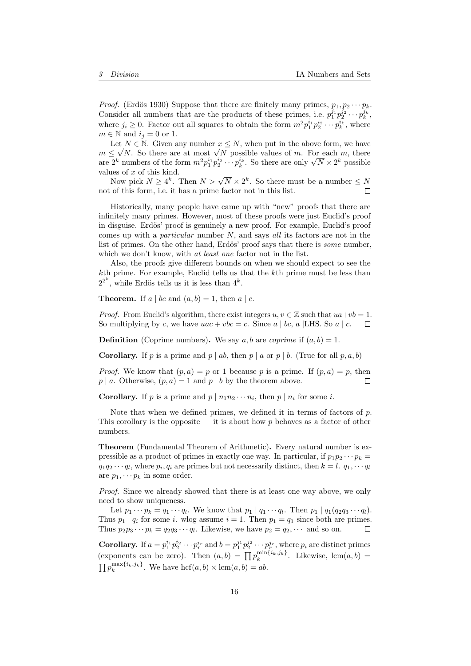*Proof.* (Erdös 1930) Suppose that there are finitely many primes,  $p_1, p_2 \cdots p_k$ . Consider all numbers that are the products of these primes, i.e.  $p_1^{j_1} p_2^{j_2} \cdots p_k^{j_k}$ , where  $j_i \geq 0$ . Factor out all squares to obtain the form  $m^2 p_1^{i_1} p_2^{i_2} \cdots p_k^{i_k}$ , where  $m \in \mathbb{N}$  and  $i_j = 0$  or 1.

Let  $N \in \mathbb{N}$ . Given any number  $x \leq N$ , when put in the above form, we have Let  $N \in \mathbb{N}$ . Given any number  $x \leq N$ , when put in the above form, we have  $m \leq \sqrt{N}$ . So there are at most  $\sqrt{N}$  possible values of m. For each m, there  $m \leq \sqrt{N}$ . So there are at most  $\sqrt{N}$  possible values of m. For each m, there are  $2^k$  numbers of the form  $m^2 p_1^{i_1} p_2^{i_2} \cdots p_k^{i_k}$ . So there are only  $\sqrt{N} \times 2^k$  possible values of  $x$  of this kind.

les of x of this kind.<br>Now pick  $N \geq 4^k$ . Then  $N > \sqrt{N} \times 2^k$ . So there must be a number  $\leq N$ not of this form, i.e. it has a prime factor not in this list.  $\Box$ 

Historically, many people have came up with "new" proofs that there are infinitely many primes. However, most of these proofs were just Euclid's proof in disguise. Erdös' proof is genuinely a new proof. For example, Euclid's proof comes up with a *particular* number  $N$ , and says all its factors are not in the list of primes. On the other hand, Erdös' proof says that there is *some* number, which we don't know, with at least one factor not in the list.

Also, the proofs give different bounds on when we should expect to see the kth prime. For example, Euclid tells us that the kth prime must be less than  $2^{2^k}$ , while Erdös tells us it is less than  $4^k$ .

**Theorem.** If  $a \mid bc$  and  $(a, b) = 1$ , then  $a \mid c$ .

*Proof.* From Euclid's algorithm, there exist integers  $u, v \in \mathbb{Z}$  such that  $ua+vb=1$ . So multiplying by c, we have  $uac + vbc = c$ . Since a | bc, a | LHS. So a | c.  $\Box$ 

**Definition** (Coprime numbers). We say a, b are coprime if  $(a, b) = 1$ .

**Corollary.** If p is a prime and  $p \mid ab$ , then  $p \mid a$  or  $p \mid b$ . (True for all p, a, b)

*Proof.* We know that  $(p, a) = p$  or 1 because p is a prime. If  $(p, a) = p$ , then  $p \mid a$ . Otherwise,  $(p, a) = 1$  and  $p \mid b$  by the theorem above. г

**Corollary.** If p is a prime and  $p | n_1 n_2 \cdots n_i$ , then  $p | n_i$  for some i.

Note that when we defined primes, we defined it in terms of factors of  $p$ . This corollary is the opposite — it is about how  $p$  behaves as a factor of other numbers.

Theorem (Fundamental Theorem of Arithmetic). Every natural number is expressible as a product of primes in exactly one way. In particular, if  $p_1p_2\cdots p_k =$  $q_1q_2 \cdots q_l$ , where  $p_i, q_i$  are primes but not necessarily distinct, then  $k = l$ .  $q_1, \cdots q_l$ are  $p_1, \cdots p_k$  in some order.

Proof. Since we already showed that there is at least one way above, we only need to show uniqueness.

Let  $p_1 \cdots p_k = q_1 \cdots q_l$ . We know that  $p_1 | q_1 \cdots q_l$ . Then  $p_1 | q_1 (q_2 q_3 \cdots q_l)$ . Thus  $p_1 | q_i$  for some i. wlog assume  $i = 1$ . Then  $p_1 = q_1$  since both are primes. Thus  $p_2p_3\cdots p_k = q_2q_3\cdots q_l$ . Likewise, we have  $p_2 = q_2, \cdots$  and so on.  $\Box$ 

**Corollary.** If  $a = p_1^{i_1} p_2^{i_2} \cdots p_r^{i_r}$  and  $b = p_1^{j_1} p_2^{j_2} \cdots p_r^{j_r}$ , where  $p_i$  are distinct primes (exponents can be zero). Then  $(a, b) = \prod p_k^{\min\{i_k, j_k\}}$ . Likewise,  $\text{lcm}(a, b) =$  $\prod p_k^{\max\{i_k,j_k\}}$ . We have  $\mathrm{hcf}(a,b) \times \mathrm{lcm}(a,b) = ab$ .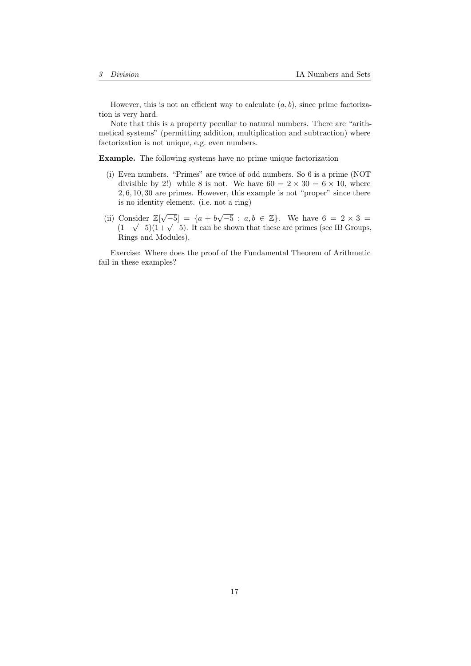However, this is not an efficient way to calculate  $(a, b)$ , since prime factorization is very hard.

Note that this is a property peculiar to natural numbers. There are "arithmetical systems" (permitting addition, multiplication and subtraction) where factorization is not unique, e.g. even numbers.

Example. The following systems have no prime unique factorization

- (i) Even numbers. "Primes" are twice of odd numbers. So 6 is a prime (NOT divisible by 2!) while 8 is not. We have  $60 = 2 \times 30 = 6 \times 10$ , where 2, 6, 10, 30 are primes. However, this example is not "proper" since there is no identity element. (i.e. not a ring)
- (ii) Consider  $\mathbb{Z}[\sqrt{-5}] = \{a + b\sqrt{-5} : a, b \in \mathbb{Z}\}\$ . We have  $6 = 2 \times 3 = 2$ Consider  $\mathbb{Z}[\sqrt{-3}] = \{a + b\sqrt{-3} : a, b \in \mathbb{Z}\}\.$  We have  $0 = 2 \times 3 = (1 - \sqrt{-5})(1 + \sqrt{-5})$ . It can be shown that these are primes (see IB Groups, Rings and Modules).

Exercise: Where does the proof of the Fundamental Theorem of Arithmetic fail in these examples?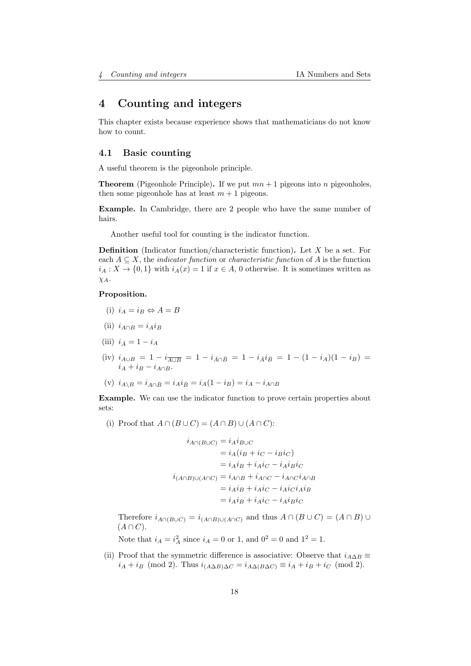# <span id="page-17-0"></span>4 Counting and integers

This chapter exists because experience shows that mathematicians do not know how to count.

## <span id="page-17-1"></span>4.1 Basic counting

A useful theorem is the pigeonhole principle.

**Theorem** (Pigeonhole Principle). If we put  $mn + 1$  pigeons into n pigeonholes, then some pigeonhole has at least  $m + 1$  pigeons.

Example. In Cambridge, there are 2 people who have the same number of hairs.

Another useful tool for counting is the indicator function.

**Definition** (Indicator function/characteristic function). Let  $X$  be a set. For each  $A \subseteq X$ , the *indicator function* or *characteristic function* of A is the function  $i_A: X \to \{0,1\}$  with  $i_A(x) = 1$  if  $x \in A$ , 0 otherwise. It is sometimes written as  $\chi_A$ .

#### Proposition.

- (i)  $i_A = i_B \Leftrightarrow A = B$
- (ii)  $i_{A\cap B} = i_A i_B$
- (iii)  $i_{\bar{A}} = 1 i_A$
- (iv)  $i_{A\cup B} = 1 i_{\overline{A\cup B}} = 1 i_{\overline{A}\cap\overline{B}} = 1 i_{\overline{A}}i_{\overline{B}} = 1 (1 i_A)(1 i_B) =$  $i_A + i_B - i_{A\cap B}$ .
- (v)  $i_{A\setminus B} = i_{A\cap \bar{B}} = i_A i_{\bar{B}} = i_A(1 i_B) = i_A i_{A\cap B}$

Example. We can use the indicator function to prove certain properties about sets:

(i) Proof that  $A \cap (B \cup C) = (A \cap B) \cup (A \cap C)$ :

$$
i_{A \cap (B \cup C)} = i_A i_{B \cup C}
$$
  
=  $i_A (i_B + i_C - i_B i_C)$   
=  $i_A i_B + i_A i_C - i_A i_B i_C$   
 $i_{(A \cap B) \cup (A \cap C)} = i_{A \cap B} + i_{A \cap C} - i_{A \cap C} i_{A \cap B}$   
=  $i_A i_B + i_A i_C - i_A i_C i_A i_B$   
=  $i_A i_B + i_A i_C - i_A i_B i_C$ 

Therefore  $i_{A\cap(B\cup C)} = i_{(A\cap B)\cup(A\cap C)}$  and thus  $A\cap (B\cup C) = (A\cap B)\cup$  $(A \cap C)$ .

Note that  $i_A = i_A^2$  since  $i_A = 0$  or 1, and  $0^2 = 0$  and  $1^2 = 1$ .

(ii) Proof that the symmetric difference is associative: Observe that  $i_{A\Delta B} \equiv$  $i_A + i_B \pmod{2}$ . Thus  $i_{(A\Delta B)\Delta C} = i_{A\Delta(B\Delta C)} \equiv i_A + i_B + i_C \pmod{2}$ .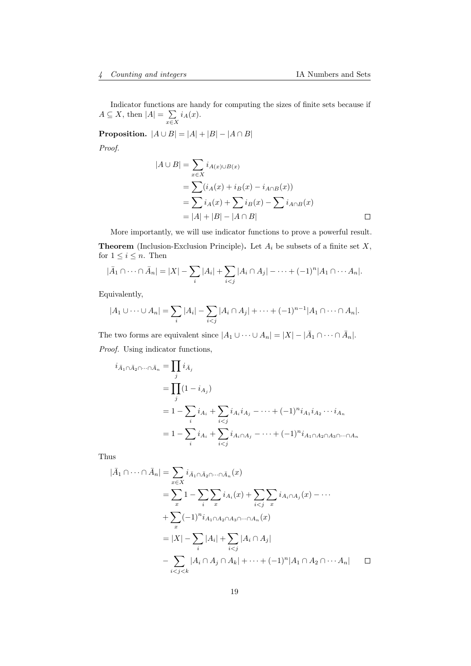Indicator functions are handy for computing the sizes of finite sets because if  $A \subseteq X$ , then  $|A| = \sum$  $\sum_{x \in X} i_A(x).$ 

**Proposition.**  $|A \cup B| = |A| + |B| - |A \cap B|$ 

Proof.

$$
|A \cup B| = \sum_{x \in X} i_{A(x) \cup B(x)}
$$
  
=  $\sum (i_A(x) + i_B(x) - i_{A \cap B}(x))$   
=  $\sum i_A(x) + \sum i_B(x) - \sum i_{A \cap B}(x)$   
=  $|A| + |B| - |A \cap B|$ 

More importantly, we will use indicator functions to prove a powerful result. **Theorem** (Inclusion-Exclusion Principle). Let  $A_i$  be subsets of a finite set  $X$ , for  $1 \leq i \leq n$ . Then

$$
|\bar{A}_1 \cap \cdots \cap \bar{A}_n| = |X| - \sum_i |A_i| + \sum_{i < j} |A_i \cap A_j| - \cdots + (-1)^n |A_1 \cap \cdots A_n|.
$$

Equivalently,

$$
|A_1 \cup \cdots \cup A_n| = \sum_i |A_i| - \sum_{i < j} |A_i \cap A_j| + \cdots + (-1)^{n-1} |A_1 \cap \cdots \cap A_n|.
$$

The two forms are equivalent since  $|A_1 \cup \cdots \cup A_n| = |X| - |\overline{A}_1 \cap \cdots \cap \overline{A}_n|$ . Proof. Using indicator functions,

$$
i_{\bar{A}_1 \cap \bar{A}_2 \cap \dots \cap \bar{A}_n} = \prod_j i_{\bar{A}_j}
$$
  
= 
$$
\prod_j (1 - i_{A_j})
$$
  
= 
$$
1 - \sum_i i_{A_i} + \sum_{i < j} i_{A_i} i_{A_j} - \dots + (-1)^n i_{A_1} i_{A_2} \dots i_{A_n}
$$
  
= 
$$
1 - \sum_i i_{A_i} + \sum_{i < j} i_{A_i \cap A_j} - \dots + (-1)^n i_{A_1 \cap A_2 \cap A_3 \cap \dots \cap A_n}
$$

Thus

$$
|\bar{A}_1 \cap \cdots \cap \bar{A}_n| = \sum_{x \in X} i_{\bar{A}_1 \cap \bar{A}_2 \cap \cdots \cap \bar{A}_n}(x)
$$
  
\n
$$
= \sum_{x} 1 - \sum_{i} \sum_{x} i_{A_i}(x) + \sum_{i < j} \sum_{x} i_{A_i \cap A_j}(x) - \cdots
$$
  
\n
$$
+ \sum_{x} (-1)^n i_{A_1 \cap A_2 \cap A_3 \cap \cdots \cap A_n}(x)
$$
  
\n
$$
= |X| - \sum_{i} |A_i| + \sum_{i < j} |A_i \cap A_j|
$$
  
\n
$$
- \sum_{i < j < k} |A_i \cap A_j \cap A_k| + \cdots + (-1)^n |A_1 \cap A_2 \cap \cdots A_n| \quad \Box
$$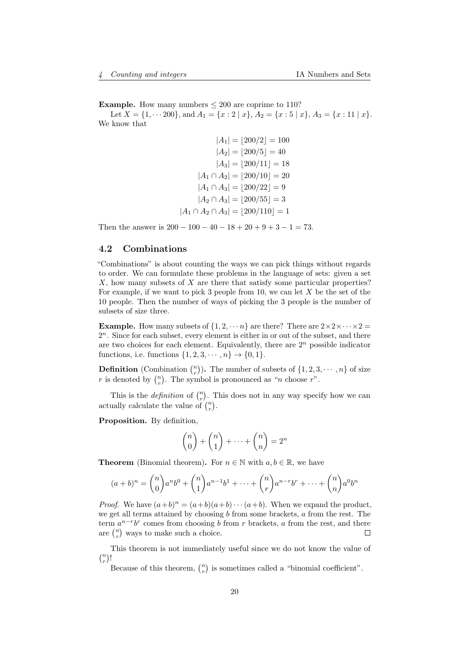**Example.** How many numbers  $\leq 200$  are coprime to 110?

Let  $X = \{1, \dots 200\}$ , and  $A_1 = \{x : 2 \mid x\}$ ,  $A_2 = \{x : 5 \mid x\}$ ,  $A_3 = \{x : 11 \mid x\}$ . We know that

> $|A_1| = |200/2| = 100$  $|A_2| = |200/5| = 40$  $|A_3| = |200/11| = 18$  $|A_1 \cap A_2| = |200/10| = 20$  $|A_1 \cap A_3| = |200/22| = 9$  $|A_2 \cap A_3| = |200/55| = 3$  $|A_1 \cap A_2 \cap A_3| = |200/110| = 1$

Then the answer is  $200 - 100 - 40 - 18 + 20 + 9 + 3 - 1 = 73$ .

### <span id="page-19-0"></span>4.2 Combinations

"Combinations" is about counting the ways we can pick things without regards to order. We can formulate these problems in the language of sets: given a set  $X$ , how many subsets of  $X$  are there that satisfy some particular properties? For example, if we want to pick 3 people from 10, we can let  $X$  be the set of the 10 people. Then the number of ways of picking the 3 people is the number of subsets of size three.

**Example.** How many subsets of  $\{1, 2, \cdots n\}$  are there? There are  $2 \times 2 \times \cdots \times 2 =$ 2 <sup>n</sup>. Since for each subset, every element is either in or out of the subset, and there are two choices for each element. Equivalently, there are  $2<sup>n</sup>$  possible indicator functions, i.e. functions  $\{1, 2, 3, \cdots, n\} \rightarrow \{0, 1\}.$ 

**Definition** (Combination  $\binom{n}{r}$ ). The number of subsets of  $\{1, 2, 3, \cdots, n\}$  of size r is denoted by  $\binom{n}{r}$ . The symbol is pronounced as "n choose r".

This is the *definition* of  $\binom{n}{r}$ . This does not in any way specify how we can actually calculate the value of  $\binom{n}{r}$ .

Proposition. By definition,

$$
\binom{n}{0} + \binom{n}{1} + \dots + \binom{n}{n} = 2^n
$$

**Theorem** (Binomial theorem). For  $n \in \mathbb{N}$  with  $a, b \in \mathbb{R}$ , we have

$$
(a+b)^n = {n \choose 0} a^n b^0 + {n \choose 1} a^{n-1} b^1 + \dots + {n \choose r} a^{n-r} b^r + \dots + {n \choose n} a^0 b^n
$$

*Proof.* We have  $(a+b)^n = (a+b)(a+b)\cdots(a+b)$ . When we expand the product, we get all terms attained by choosing  $b$  from some brackets,  $a$  from the rest. The term  $a^{n-r}b^r$  comes from choosing b from r brackets, a from the rest, and there are  $\binom{n}{r}$  ways to make such a choice.  $\Box$ 

This theorem is not immediately useful since we do not know the value of  $\binom{n}{r}!$ 

Because of this theorem,  $\binom{n}{r}$  is sometimes called a "binomial coefficient".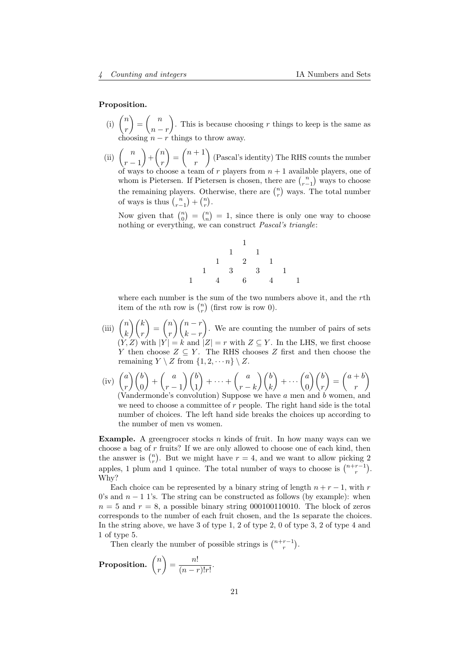#### Proposition.

- $(i)$   $\binom{n}{i}$ r  $\Big) = \Big( \begin{array}{c} n \end{array} \Big)$  $n - r$ ). This is because choosing r things to keep is the same as choosing  $n - r$  things to throw away.
- (ii)  $\binom{n}{n}$  $r-1$  $\bigg) + \bigg( \begin{array}{c} n \\ n \end{array} \bigg)$ r  $\binom{n+1}{n}$ r (Pascal's identity) The RHS counts the number of ways to choose a team of r players from  $n + 1$  available players, one of whom is Pietersen. If Pietersen is chosen, there are  $\binom{n}{r-1}$  ways to choose the remaining players. Otherwise, there are  $\binom{n}{r}$  ways. The total number of ways is thus  $\binom{n}{r-1} + \binom{n}{r}$ .

Now given that  $\binom{n}{0} = \binom{n}{n} = 1$ , since there is only one way to choose nothing or everything, we can construct *Pascal's triangle*:

1 1 1 1 2 1 1 3 3 1 1 4 6 4 1

where each number is the sum of the two numbers above it, and the rth item of the *n*th row is  $\binom{n}{r}$  (first row is row 0).

- $(iii)$   $\binom{n}{i}$ k  $\setminus$  / k r  $\bigg) = \bigg( \begin{matrix} n \\ n \end{matrix} \bigg)$ r  $\setminus$   $(n-r)$  $k - r$  . We are counting the number of pairs of sets  $(Y, Z)$  with  $|Y| = k$  and  $|Z| = r$  with  $Z \subseteq Y$ . In the LHS, we first choose Y then choose  $Z \subseteq Y$ . The RHS chooses Z first and then choose the remaining  $Y \setminus Z$  from  $\{1, 2, \dots n\} \setminus Z$ .
- $(iv)$   $\left( \begin{array}{c} a \end{array} \right)$ r  $\setminus$  (*b*)  $\boldsymbol{0}$  $\Big) + \Big( \begin{array}{c} a \end{array}$  $r-1$  $\setminus$  (*b*) 1  $+ \cdots + \begin{pmatrix} a \\ b \end{pmatrix}$  $r - k$  $\setminus$  (*b*) k  $\Big) + \cdots \Big( \frac{a}{a} \Big)$ 0  $\setminus/b$ r  $\bigg) = \bigg( \begin{matrix} a+b \end{matrix} \bigg)$ r Λ (Vandermonde's convolution) Suppose we have a men and b women, and we need to choose a committee of  $r$  people. The right hand side is the total number of choices. The left hand side breaks the choices up according to the number of men vs women.

**Example.** A greengrocer stocks n kinds of fruit. In how many ways can we choose a bag of r fruits? If we are only allowed to choose one of each kind, then the answer is  $\binom{n}{r}$ . But we might have  $r = 4$ , and we want to allow picking 2 apples, 1 plum and 1 quince. The total number of ways to choose is  $\binom{n+r-1}{r}$ . Why?

Each choice can be represented by a binary string of length  $n + r - 1$ , with r 0's and  $n - 1$  1's. The string can be constructed as follows (by example): when  $n = 5$  and  $r = 8$ , a possible binary string 000100110010. The block of zeros corresponds to the number of each fruit chosen, and the 1s separate the choices. In the string above, we have 3 of type 1, 2 of type 2, 0 of type 3, 2 of type 4 and 1 of type 5.

Then clearly the number of possible strings is  $\binom{n+r-1}{r}$ .

**Proposition.** 
$$
\binom{n}{r} = \frac{n!}{(n-r)!r!}
$$
.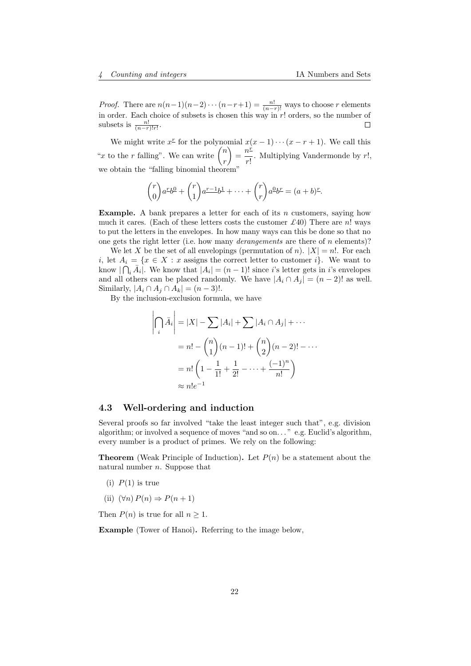*Proof.* There are  $n(n-1)(n-2)\cdots(n-r+1) = \frac{n!}{(n-r)!}$  ways to choose r elements in order. Each choice of subsets is chosen this way in r! orders, so the number of subsets is  $\frac{n!}{(n-r)!r!}$ .

We might write  $x^{\text{f}}$  for the polynomial  $x(x-1)\cdots(x-r+1)$ . We call this "x to the r falling". We can write  $\binom{n}{k}$ r  $\bigg\} = \frac{n^2}{n}$  $\frac{1}{r!}$ . Multiplying Vandermonde by r!, we obtain the "falling binomial theorem"

$$
\binom{r}{0}a^{\underline{r}}b^{\underline{0}} + \binom{r}{1}a^{\underline{r-1}}b^{\underline{1}} + \cdots + \binom{r}{r}a^{\underline{0}}b^{\underline{r}} = (a+b)^{\underline{r}}.
$$

**Example.** A bank prepares a letter for each of its n customers, saying how much it cares. (Each of these letters costs the customer  $\mathcal{L}$ 40) There are n! ways to put the letters in the envelopes. In how many ways can this be done so that no one gets the right letter (i.e. how many *derangements* are there of n elements)?

We let X be the set of all envelopings (permutation of n).  $|X| = n!$ . For each i, let  $A_i = \{x \in X : x$  assigns the correct letter to customer i. We want to know  $|\bigcap_i \bar{A}_i|$ . We know that  $|A_i| = (n-1)!$  since i's letter gets in i's envelopes and all others can be placed randomly. We have  $|A_i \cap A_j| = (n-2)!$  as well. Similarly,  $|A_i \cap A_j \cap A_k| = (n-3)!$ .

By the inclusion-exclusion formula, we have

$$
\left| \bigcap_{i} \bar{A}_{i} \right| = |X| - \sum |A_{i}| + \sum |A_{i} \cap A_{j}| + \cdots
$$
  
=  $n! - {n \choose 1} (n-1)! + {n \choose 2} (n-2)! - \cdots$   
=  $n! \left(1 - \frac{1}{1!} + \frac{1}{2!} - \cdots + \frac{(-1)^{n}}{n!}\right)$   
 $\approx n! e^{-1}$ 

#### <span id="page-21-0"></span>4.3 Well-ordering and induction

Several proofs so far involved "take the least integer such that", e.g. division algorithm; or involved a sequence of moves "and so on. . . " e.g. Euclid's algorithm, every number is a product of primes. We rely on the following:

**Theorem** (Weak Principle of Induction). Let  $P(n)$  be a statement about the natural number  $n$ . Suppose that

- (i)  $P(1)$  is true
- (ii)  $(\forall n) P(n) \Rightarrow P(n+1)$

Then  $P(n)$  is true for all  $n \geq 1$ .

Example (Tower of Hanoi). Referring to the image below,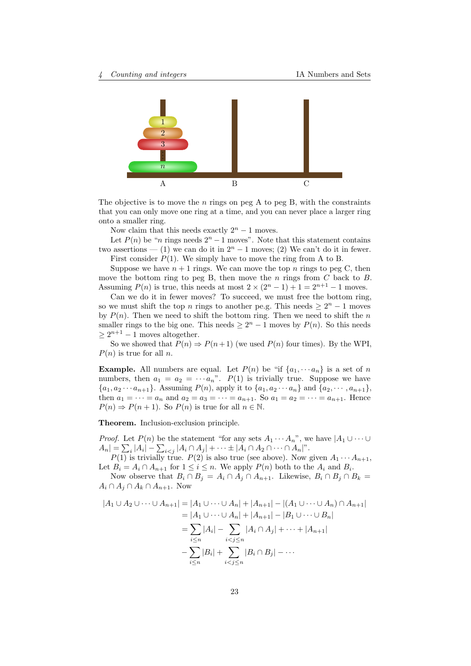

The objective is to move the n rings on peg A to peg B, with the constraints that you can only move one ring at a time, and you can never place a larger ring onto a smaller ring.

Now claim that this needs exactly  $2<sup>n</sup> - 1$  moves.

Let  $P(n)$  be "n rings needs  $2<sup>n</sup> - 1$  moves". Note that this statement contains two assertions — (1) we can do it in  $2<sup>n</sup> - 1$  moves; (2) We can't do it in fewer. First consider  $P(1)$ . We simply have to move the ring from A to B.

Suppose we have  $n+1$  rings. We can move the top n rings to peg C, then move the bottom ring to peg B, then move the  $n$  rings from  $C$  back to  $B$ . Assuming  $P(n)$  is true, this needs at most  $2 \times (2^{n} - 1) + 1 = 2^{n+1} - 1$  moves.

Can we do it in fewer moves? To succeed, we must free the bottom ring, so we must shift the top n rings to another pe.g. This needs  $\geq 2^n - 1$  moves by  $P(n)$ . Then we need to shift the bottom ring. Then we need to shift the n smaller rings to the big one. This needs  $\geq 2^n - 1$  moves by  $P(n)$ . So this needs  $\geq 2^{n+1} - 1$  moves altogether.

So we showed that  $P(n) \Rightarrow P(n+1)$  (we used  $P(n)$  four times). By the WPI,  $P(n)$  is true for all n.

**Example.** All numbers are equal. Let  $P(n)$  be "if  $\{a_1, \dots, a_n\}$  is a set of n numbers, then  $a_1 = a_2 = \cdots a_n$ ".  $P(1)$  is trivially true. Suppose we have  $\{a_1, a_2 \cdots a_{n+1}\}.$  Assuming  $P(n)$ , apply it to  $\{a_1, a_2 \cdots a_n\}$  and  $\{a_2, \cdots, a_{n+1}\},$ then  $a_1 = \cdots = a_n$  and  $a_2 = a_3 = \cdots = a_{n+1}$ . So  $a_1 = a_2 = \cdots = a_{n+1}$ . Hence  $P(n) \Rightarrow P(n+1)$ . So  $P(n)$  is true for all  $n \in \mathbb{N}$ .

Theorem. Inclusion-exclusion principle.

*Proof.* Let  $P(n)$  be the statement "for any sets  $A_1 \cdots A_n$ ", we have  $|A_1 \cup \cdots \cup A_n|$  $|A_n| = \sum_i |A_i| - \sum_{i < j} |A_i \cap A_j| + \cdots \pm |A_i \cap A_2 \cap \cdots \cap A_n|$ ".

 $P(1)$  is trivially true.  $P(2)$  is also true (see above). Now given  $A_1 \cdots A_{n+1}$ , Let  $B_i = A_i \cap A_{n+1}$  for  $1 \leq i \leq n$ . We apply  $P(n)$  both to the  $A_i$  and  $B_i$ .

Now observe that  $B_i \cap B_j = A_i \cap A_j \cap A_{n+1}$ . Likewise,  $B_i \cap B_j \cap B_k =$  $A_i \cap A_j \cap A_k \cap A_{n+1}$ . Now

$$
|A_1 \cup A_2 \cup \dots \cup A_{n+1}| = |A_1 \cup \dots \cup A_n| + |A_{n+1}| - |(A_1 \cup \dots \cup A_n) \cap A_{n+1}|
$$
  
\n
$$
= |A_1 \cup \dots \cup A_n| + |A_{n+1}| - |B_1 \cup \dots \cup B_n|
$$
  
\n
$$
= \sum_{i \le n} |A_i| - \sum_{i < j \le n} |A_i \cap A_j| + \dots + |A_{n+1}|
$$
  
\n
$$
- \sum_{i \le n} |B_i| + \sum_{i < j \le n} |B_i \cap B_j| - \dots
$$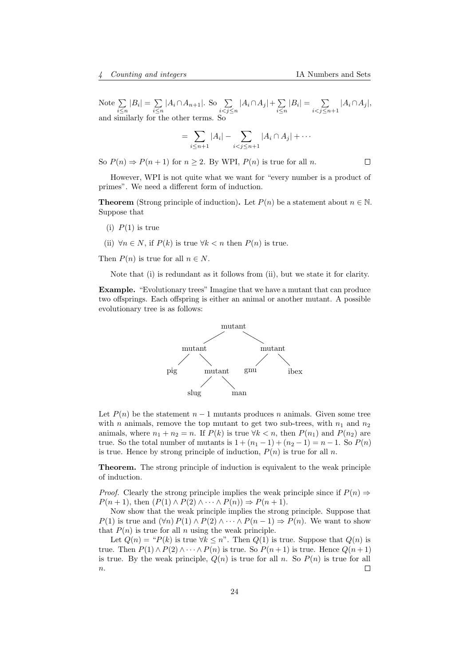$\Box$ 

Note  $\Sigma$  $\sum_{i\leq n}|B_i|=\sum_{i\leq n}$  $\sum_{i\leq n} |A_i \cap A_{n+1}|$ . So  $\sum_{i < j \leq n} |A_i \cap A_j| + \sum_{i \leq n}$  $\sum_{i\leq n}|B_i|=\sum_{i$  $\sum_{i < j \leq n+1} |A_i \cap A_j|,$ and similarly for the other terms. So

$$
=\sum_{i\leq n+1}|A_i|-\sum_{i
$$

So  $P(n) \Rightarrow P(n+1)$  for  $n \ge 2$ . By WPI,  $P(n)$  is true for all n.

However, WPI is not quite what we want for "every number is a product of primes". We need a different form of induction.

**Theorem** (Strong principle of induction). Let  $P(n)$  be a statement about  $n \in \mathbb{N}$ . Suppose that

- (i)  $P(1)$  is true
- (ii)  $\forall n \in N$ , if  $P(k)$  is true  $\forall k < n$  then  $P(n)$  is true.

Then  $P(n)$  is true for all  $n \in N$ .

Note that (i) is redundant as it follows from (ii), but we state it for clarity.

Example. "Evolutionary trees" Imagine that we have a mutant that can produce two offsprings. Each offspring is either an animal or another mutant. A possible evolutionary tree is as follows:



Let  $P(n)$  be the statement  $n-1$  mutants produces n animals. Given some tree with *n* animals, remove the top mutant to get two sub-trees, with  $n_1$  and  $n_2$ animals, where  $n_1 + n_2 = n$ . If  $P(k)$  is true  $\forall k < n$ , then  $P(n_1)$  and  $P(n_2)$  are true. So the total number of mutants is  $1 + (n_1 - 1) + (n_2 - 1) = n - 1$ . So  $P(n)$ is true. Hence by strong principle of induction,  $P(n)$  is true for all n.

Theorem. The strong principle of induction is equivalent to the weak principle of induction.

*Proof.* Clearly the strong principle implies the weak principle since if  $P(n) \Rightarrow$  $P(n + 1)$ , then  $(P(1) \wedge P(2) \wedge \cdots \wedge P(n)) \Rightarrow P(n + 1)$ .

Now show that the weak principle implies the strong principle. Suppose that  $P(1)$  is true and  $(\forall n) P(1) \wedge P(2) \wedge \cdots \wedge P(n-1) \Rightarrow P(n)$ . We want to show that  $P(n)$  is true for all n using the weak principle.

Let  $Q(n) = {}^{n}P(k)$  is true  $\forall k \leq n$ ". Then  $Q(1)$  is true. Suppose that  $Q(n)$  is true. Then  $P(1) \wedge P(2) \wedge \cdots \wedge P(n)$  is true. So  $P(n+1)$  is true. Hence  $Q(n+1)$ is true. By the weak principle,  $Q(n)$  is true for all n. So  $P(n)$  is true for all  $\overline{n}$ .  $\Box$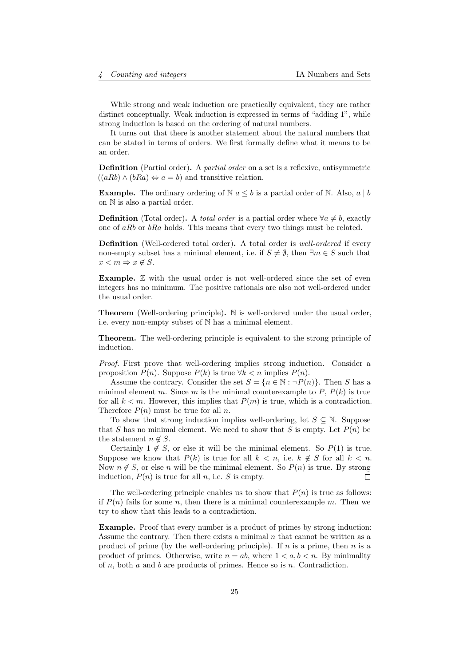While strong and weak induction are practically equivalent, they are rather distinct conceptually. Weak induction is expressed in terms of "adding 1", while strong induction is based on the ordering of natural numbers.

It turns out that there is another statement about the natural numbers that can be stated in terms of orders. We first formally define what it means to be an order.

Definition (Partial order). A partial order on a set is a reflexive, antisymmetric  $((aRb) \wedge (bRa) \Leftrightarrow a = b)$  and transitive relation.

**Example.** The ordinary ordering of  $\mathbb{N}$   $a \leq b$  is a partial order of  $\mathbb{N}$ . Also,  $a \mid b$ on N is also a partial order.

**Definition** (Total order). A *total order* is a partial order where  $\forall a \neq b$ , exactly one of aRb or bRa holds. This means that every two things must be related.

Definition (Well-ordered total order). A total order is *well-ordered* if every non-empty subset has a minimal element, i.e. if  $S \neq \emptyset$ , then  $\exists m \in S$  such that  $x < m \Rightarrow x \notin S$ .

**Example.**  $\mathbb{Z}$  with the usual order is not well-ordered since the set of even integers has no minimum. The positive rationals are also not well-ordered under the usual order.

Theorem (Well-ordering principle). N is well-ordered under the usual order, i.e. every non-empty subset of N has a minimal element.

Theorem. The well-ordering principle is equivalent to the strong principle of induction.

Proof. First prove that well-ordering implies strong induction. Consider a proposition  $P(n)$ . Suppose  $P(k)$  is true  $\forall k < n$  implies  $P(n)$ .

Assume the contrary. Consider the set  $S = \{n \in \mathbb{N} : \neg P(n)\}\.$  Then S has a minimal element m. Since m is the minimal counterexample to  $P, P(k)$  is true for all  $k < m$ . However, this implies that  $P(m)$  is true, which is a contradiction. Therefore  $P(n)$  must be true for all n.

To show that strong induction implies well-ordering, let  $S \subseteq \mathbb{N}$ . Suppose that S has no minimal element. We need to show that S is empty. Let  $P(n)$  be the statement  $n \notin S$ .

Certainly  $1 \notin S$ , or else it will be the minimal element. So  $P(1)$  is true. Suppose we know that  $P(k)$  is true for all  $k < n$ , i.e.  $k \notin S$  for all  $k < n$ . Now  $n \notin S$ , or else n will be the minimal element. So  $P(n)$  is true. By strong induction,  $P(n)$  is true for all n, i.e. S is empty. П

The well-ordering principle enables us to show that  $P(n)$  is true as follows: if  $P(n)$  fails for some n, then there is a minimal counterexample m. Then we try to show that this leads to a contradiction.

Example. Proof that every number is a product of primes by strong induction: Assume the contrary. Then there exists a minimal  $n$  that cannot be written as a product of prime (by the well-ordering principle). If  $n$  is a prime, then  $n$  is a product of primes. Otherwise, write  $n = ab$ , where  $1 < a, b < n$ . By minimality of  $n$ , both  $a$  and  $b$  are products of primes. Hence so is  $n$ . Contradiction.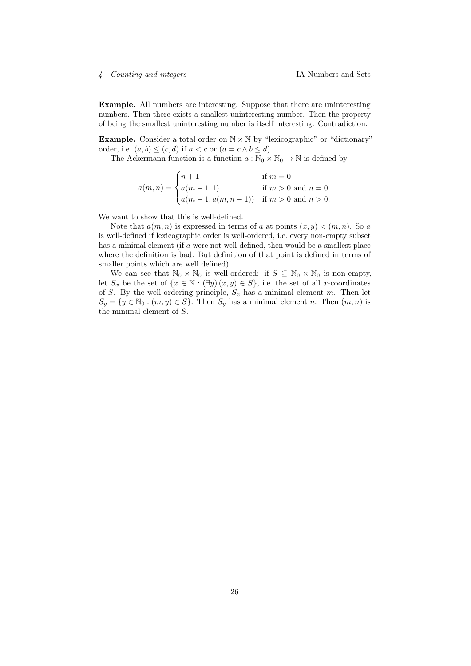Example. All numbers are interesting. Suppose that there are uninteresting numbers. Then there exists a smallest uninteresting number. Then the property of being the smallest uninteresting number is itself interesting. Contradiction.

**Example.** Consider a total order on  $N \times N$  by "lexicographic" or "dictionary" order, i.e.  $(a, b) \leq (c, d)$  if  $a < c$  or  $(a = c \land b \leq d)$ .

The Ackermann function is a function  $a : \mathbb{N}_0 \times \mathbb{N}_0 \to \mathbb{N}$  is defined by

$$
a(m,n) = \begin{cases} n+1 & \text{if } m = 0\\ a(m-1,1) & \text{if } m > 0 \text{ and } n = 0\\ a(m-1,a(m,n-1)) & \text{if } m > 0 \text{ and } n > 0. \end{cases}
$$

We want to show that this is well-defined.

Note that  $a(m, n)$  is expressed in terms of a at points  $(x, y) < (m, n)$ . So a is well-defined if lexicographic order is well-ordered, i.e. every non-empty subset has a minimal element (if a were not well-defined, then would be a smallest place where the definition is bad. But definition of that point is defined in terms of smaller points which are well defined).

We can see that  $\mathbb{N}_0 \times \mathbb{N}_0$  is well-ordered: if  $S \subseteq \mathbb{N}_0 \times \mathbb{N}_0$  is non-empty, let  $S_x$  be the set of  $\{x \in \mathbb{N} : (\exists y)(x, y) \in S\}$ , i.e. the set of all x-coordinates of S. By the well-ordering principle,  $S_x$  has a minimal element m. Then let  $S_y = \{y \in \mathbb{N}_0 : (m, y) \in S\}$ . Then  $S_y$  has a minimal element n. Then  $(m, n)$  is the minimal element of S.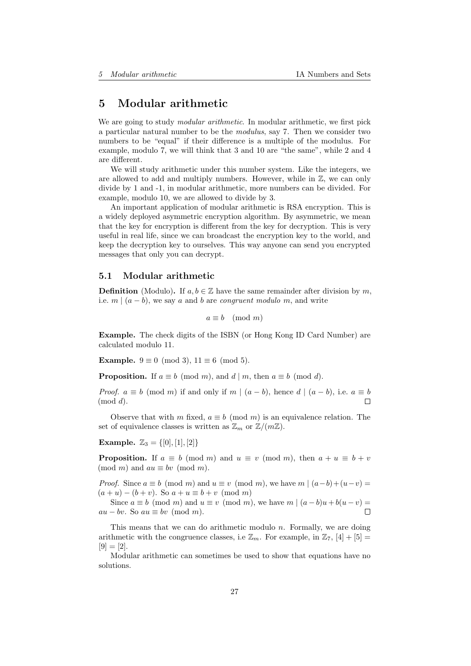# <span id="page-26-0"></span>5 Modular arithmetic

We are going to study *modular arithmetic*. In modular arithmetic, we first pick a particular natural number to be the modulus, say 7. Then we consider two numbers to be "equal" if their difference is a multiple of the modulus. For example, modulo 7, we will think that 3 and 10 are "the same", while 2 and 4 are different.

We will study arithmetic under this number system. Like the integers, we are allowed to add and multiply numbers. However, while in  $\mathbb{Z}$ , we can only divide by 1 and -1, in modular arithmetic, more numbers can be divided. For example, modulo 10, we are allowed to divide by 3.

An important application of modular arithmetic is RSA encryption. This is a widely deployed asymmetric encryption algorithm. By asymmetric, we mean that the key for encryption is different from the key for decryption. This is very useful in real life, since we can broadcast the encryption key to the world, and keep the decryption key to ourselves. This way anyone can send you encrypted messages that only you can decrypt.

### <span id="page-26-1"></span>5.1 Modular arithmetic

**Definition** (Modulo). If  $a, b \in \mathbb{Z}$  have the same remainder after division by m, i.e.  $m | (a - b)$ , we say a and b are congruent modulo m, and write

$$
a \equiv b \pmod{m}
$$

Example. The check digits of the ISBN (or Hong Kong ID Card Number) are calculated modulo 11.

Example.  $9 \equiv 0 \pmod{3}$ ,  $11 \equiv 6 \pmod{5}$ .

**Proposition.** If  $a \equiv b \pmod{m}$ , and  $d \mid m$ , then  $a \equiv b \pmod{d}$ .

*Proof.*  $a \equiv b \pmod{m}$  if and only if  $m \mid (a - b)$ , hence  $d \mid (a - b)$ , i.e.  $a \equiv b$  $(mod d).$ Г

Observe that with m fixed,  $a \equiv b \pmod{m}$  is an equivalence relation. The set of equivalence classes is written as  $\mathbb{Z}_m$  or  $\mathbb{Z}/(m\mathbb{Z})$ .

Example.  $\mathbb{Z}_3 = \{ [0], [1], [2] \}$ 

**Proposition.** If  $a \equiv b \pmod{m}$  and  $u \equiv v \pmod{m}$ , then  $a + u \equiv b + v$  $(mod m)$  and  $au \equiv bv \pmod{m}$ .

*Proof.* Since  $a \equiv b \pmod{m}$  and  $u \equiv v \pmod{m}$ , we have  $m \mid (a-b)+(u-v) =$  $(a + u) - (b + v)$ . So  $a + u \equiv b + v \pmod{m}$ 

Since  $a \equiv b \pmod{m}$  and  $u \equiv v \pmod{m}$ , we have  $m \mid (a - b)u + b(u - v) =$  $au - bv$ . So  $au \equiv bv \pmod{m}$ . П

This means that we can do arithmetic modulo  $n$ . Formally, we are doing arithmetic with the congruence classes, i.e  $\mathbb{Z}_m$ . For example, in  $\mathbb{Z}_7$ ,  $[4] + [5] =$  $[9] = [2].$ 

Modular arithmetic can sometimes be used to show that equations have no solutions.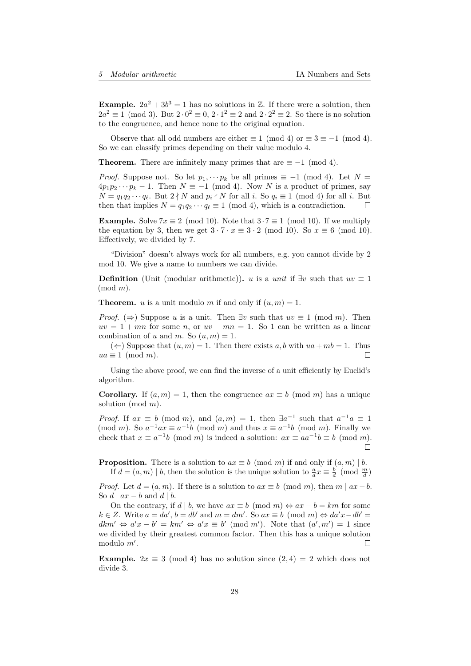**Example.**  $2a^2 + 3b^3 = 1$  has no solutions in Z. If there were a solution, then  $2a^2 \equiv 1 \pmod{3}$ . But  $2 \cdot 0^2 \equiv 0$ ,  $2 \cdot 1^2 \equiv 2$  and  $2 \cdot 2^2 \equiv 2$ . So there is no solution to the congruence, and hence none to the original equation.

Observe that all odd numbers are either  $\equiv 1 \pmod{4}$  or  $\equiv 3 \equiv -1 \pmod{4}$ . So we can classify primes depending on their value modulo 4.

**Theorem.** There are infinitely many primes that are  $\equiv -1 \pmod{4}$ .

*Proof.* Suppose not. So let  $p_1, \dots p_k$  be all primes  $\equiv -1 \pmod{4}$ . Let  $N =$  $4p_1p_2\cdots p_k-1$ . Then  $N \equiv -1 \pmod{4}$ . Now N is a product of primes, say  $N = q_1 q_2 \cdots q_\ell$ . But  $2 \nmid N$  and  $p_i \nmid N$  for all i. So  $q_i \equiv 1 \pmod{4}$  for all i. But then that implies  $N = q_1 q_2 \cdots q_\ell \equiv 1 \pmod{4}$ , which is a contradiction.  $\Box$ 

**Example.** Solve  $7x \equiv 2 \pmod{10}$ . Note that  $3 \cdot 7 \equiv 1 \pmod{10}$ . If we multiply the equation by 3, then we get  $3 \cdot 7 \cdot x \equiv 3 \cdot 2 \pmod{10}$ . So  $x \equiv 6 \pmod{10}$ . Effectively, we divided by 7.

"Division" doesn't always work for all numbers, e.g. you cannot divide by 2 mod 10. We give a name to numbers we can divide.

**Definition** (Unit (modular arithmetic)). u is a *unit* if  $\exists v$  such that  $uv \equiv 1$  $(mod m).$ 

**Theorem.** u is a unit modulo m if and only if  $(u, m) = 1$ .

*Proof.* ( $\Rightarrow$ ) Suppose u is a unit. Then  $\exists v$  such that  $uv \equiv 1 \pmod{m}$ . Then  $uv = 1 + mn$  for some n, or  $uv - mn = 1$ . So 1 can be written as a linear combination of u and m. So  $(u, m) = 1$ .

(←) Suppose that  $(u, m) = 1$ . Then there exists a, b with  $ua + mb = 1$ . Thus  $ua \equiv 1 \pmod{m}$ . П

Using the above proof, we can find the inverse of a unit efficiently by Euclid's algorithm.

**Corollary.** If  $(a, m) = 1$ , then the congruence  $ax \equiv b \pmod{m}$  has a unique solution (mod m).

*Proof.* If  $ax \equiv b \pmod{m}$ , and  $(a,m) = 1$ , then  $\exists a^{-1}$  such that  $a^{-1}a \equiv 1$ (mod m). So  $a^{-1}ax \equiv a^{-1}b \pmod{m}$  and thus  $x \equiv a^{-1}b \pmod{m}$ . Finally we check that  $x \equiv a^{-1}b \pmod{m}$  is indeed a solution:  $ax \equiv aa^{-1}b \equiv b \pmod{m}$ .  $\Box$ 

**Proposition.** There is a solution to  $ax \equiv b \pmod{m}$  if and only if  $(a, m) \mid b$ . If  $d = (a, m) | b$ , then the solution is the unique solution to  $\frac{a}{d}x \equiv \frac{b}{d} \pmod{\frac{m}{d}}$ 

*Proof.* Let  $d = (a, m)$ . If there is a solution to  $ax \equiv b \pmod{m}$ , then  $m \mid ax - b$ . So  $d \mid ax - b$  and  $d \mid b$ .

On the contrary, if d | b, we have  $ax \equiv b \pmod{m} \Leftrightarrow ax - b = km$  for some  $k \in \mathbb{Z}$ . Write  $a = da'$ ,  $b = db'$  and  $m = dm'$ . So  $ax \equiv b \pmod{m} \Leftrightarrow da'x - db' =$  $dkm' \Leftrightarrow a'x - b' = km' \Leftrightarrow a'x \equiv b' \pmod{m'}$ . Note that  $(a', m') = 1$  since we divided by their greatest common factor. Then this has a unique solution modulo  $m'$ . П

**Example.**  $2x \equiv 3 \pmod{4}$  has no solution since  $(2, 4) = 2$  which does not divide 3.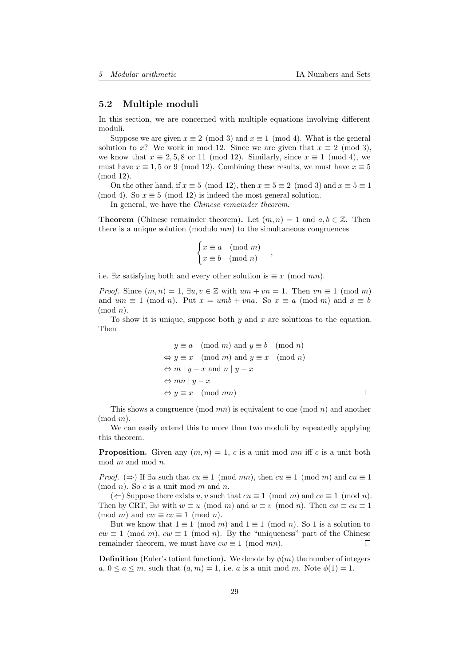#### <span id="page-28-0"></span>5.2 Multiple moduli

In this section, we are concerned with multiple equations involving different moduli.

Suppose we are given  $x \equiv 2 \pmod{3}$  and  $x \equiv 1 \pmod{4}$ . What is the general solution to x? We work in mod 12. Since we are given that  $x \equiv 2 \pmod{3}$ , we know that  $x \equiv 2, 5, 8$  or 11 (mod 12). Similarly, since  $x \equiv 1 \pmod{4}$ , we must have  $x \equiv 1, 5$  or 9 (mod 12). Combining these results, we must have  $x \equiv 5$ (mod 12).

On the other hand, if  $x \equiv 5 \pmod{12}$ , then  $x \equiv 5 \equiv 2 \pmod{3}$  and  $x \equiv 5 \equiv 1$ (mod 4). So  $x \equiv 5 \pmod{12}$  is indeed the most general solution.

In general, we have the *Chinese remainder theorem*.

**Theorem** (Chinese remainder theorem). Let  $(m, n) = 1$  and  $a, b \in \mathbb{Z}$ . Then there is a unique solution (modulo  $mn$ ) to the simultaneous congruences

$$
\begin{cases} x \equiv a \pmod{m} \\ x \equiv b \pmod{n} \end{cases}
$$

i.e.  $\exists x$  satisfying both and every other solution is  $\equiv x \pmod{mn}$ .

*Proof.* Since  $(m, n) = 1$ ,  $\exists u, v \in \mathbb{Z}$  with  $um + vn = 1$ . Then  $vn \equiv 1 \pmod{m}$ and  $um \equiv 1 \pmod{n}$ . Put  $x = umb + vna$ . So  $x \equiv a \pmod{m}$  and  $x \equiv b$  $(mod n).$ 

To show it is unique, suppose both  $y$  and  $x$  are solutions to the equation. Then

$$
y \equiv a \pmod{m} \text{ and } y \equiv b \pmod{n}
$$
  
\n
$$
\Leftrightarrow y \equiv x \pmod{m} \text{ and } y \equiv x \pmod{n}
$$
  
\n
$$
\Leftrightarrow m \mid y - x \text{ and } n \mid y - x
$$
  
\n
$$
\Leftrightarrow mn \mid y - x
$$
  
\n
$$
\Leftrightarrow y \equiv x \pmod{mn}
$$

,

This shows a congruence (mod  $mn$ ) is equivalent to one (mod n) and another  $(mod m).$ 

We can easily extend this to more than two moduli by repeatedly applying this theorem.

**Proposition.** Given any  $(m, n) = 1$ , c is a unit mod mn iff c is a unit both  $mod m$  and  $mod n$ .

*Proof.* ( $\Rightarrow$ ) If  $\exists u$  such that  $cu \equiv 1 \pmod{mn}$ , then  $cu \equiv 1 \pmod{m}$  and  $cu \equiv 1$  $(mod n)$ . So c is a unit mod m and n.

(←) Suppose there exists u, v such that  $cu \equiv 1 \pmod{m}$  and  $cv \equiv 1 \pmod{n}$ . Then by CRT,  $\exists w$  with  $w \equiv u \pmod{m}$  and  $w \equiv v \pmod{n}$ . Then  $cw \equiv cu \equiv 1$ (mod m) and  $cw \equiv cv \equiv 1 \pmod{n}$ .

But we know that  $1 \equiv 1 \pmod{m}$  and  $1 \equiv 1 \pmod{n}$ . So 1 is a solution to  $cw \equiv 1 \pmod{m}$ ,  $cw \equiv 1 \pmod{n}$ . By the "uniqueness" part of the Chinese remainder theorem, we must have  $cw \equiv 1 \pmod{mn}$ . П

**Definition** (Euler's totient function). We denote by  $\phi(m)$  the number of integers  $a, 0 \le a \le m$ , such that  $(a, m) = 1$ , i.e. a is a unit mod m. Note  $\phi(1) = 1$ .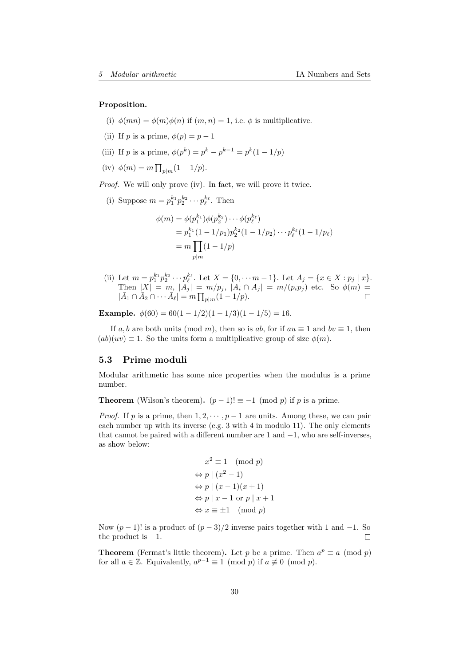Proposition.

- (i)  $\phi(mn) = \phi(m)\phi(n)$  if  $(m, n) = 1$ , i.e.  $\phi$  is multiplicative.
- (ii) If p is a prime,  $\phi(p) = p 1$
- (iii) If p is a prime,  $\phi(p^k) = p^k p^{k-1} = p^k(1 1/p)$
- (iv)  $\phi(m) = m \prod_{p|m} (1 1/p).$

Proof. We will only prove (iv). In fact, we will prove it twice.

(i) Suppose  $m = p_1^{k_1} p_2^{k_2} \cdots p_\ell^{k_\ell}$ . Then

$$
\phi(m) = \phi(p_1^{k_1})\phi(p_2^{k_2})\cdots\phi(p_\ell^{k_\ell})
$$
  
=  $p_1^{k_1}(1 - 1/p_1)p_2^{k_2}(1 - 1/p_2)\cdots p_\ell^{k_\ell}(1 - 1/p_\ell)$   
=  $m \prod_{p|m} (1 - 1/p)$ 

(ii) Let  $m = p_1^{k_1} p_2^{k_2} \cdots p_\ell^{k_\ell}$ . Let  $X = \{0, \cdots m-1\}$ . Let  $A_j = \{x \in X : p_j \mid x\}$ . Then  $|X| = m$ ,  $|A_j| = m/p_j$ ,  $|A_i \cap A_j| = m/(p_i p_j)$  etc. So  $\phi(m) =$  $|\bar{A}_1 \cap \bar{A}_2 \cap \cdots \bar{A}_\ell| = m \prod_{p|m} (1 - 1/p).$ 

Example.  $\phi(60) = 60(1 - 1/2)(1 - 1/3)(1 - 1/5) = 16.$ 

If a, b are both units (mod m), then so is ab, for if  $au \equiv 1$  and  $bv \equiv 1$ , then  $(ab)(uv) \equiv 1$ . So the units form a multiplicative group of size  $\phi(m)$ .

### <span id="page-29-0"></span>5.3 Prime moduli

Modular arithmetic has some nice properties when the modulus is a prime number.

**Theorem** (Wilson's theorem).  $(p-1)! \equiv -1 \pmod{p}$  if p is a prime.

*Proof.* If p is a prime, then  $1, 2, \dots, p-1$  are units. Among these, we can pair each number up with its inverse (e.g.  $3$  with  $4$  in modulo 11). The only elements that cannot be paired with a different number are  $1$  and  $-1$ , who are self-inverses, as show below:

$$
x^{2} \equiv 1 \pmod{p}
$$
  
\n
$$
\Leftrightarrow p \mid (x^{2} - 1)
$$
  
\n
$$
\Leftrightarrow p \mid (x - 1)(x + 1)
$$
  
\n
$$
\Leftrightarrow p \mid x - 1 \text{ or } p \mid x + 1
$$
  
\n
$$
\Leftrightarrow x \equiv \pm 1 \pmod{p}
$$

Now  $(p-1)!$  is a product of  $(p-3)/2$  inverse pairs together with 1 and -1. So the product is  $-1$ .  $\Box$ 

**Theorem** (Fermat's little theorem). Let p be a prime. Then  $a^p \equiv a \pmod{p}$ for all  $a \in \mathbb{Z}$ . Equivalently,  $a^{p-1} \equiv 1 \pmod{p}$  if  $a \not\equiv 0 \pmod{p}$ .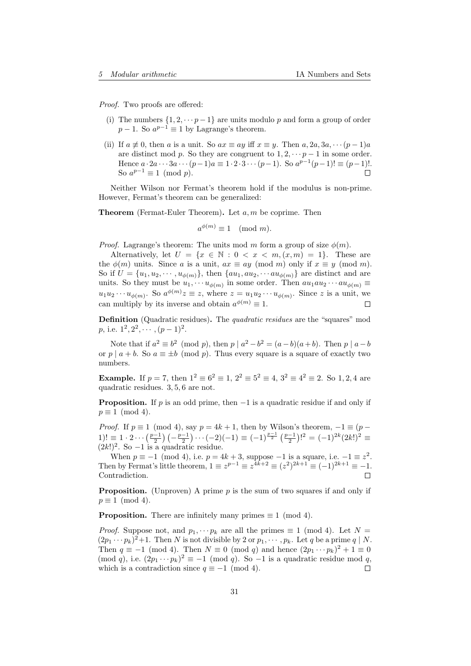Proof. Two proofs are offered:

- (i) The numbers  $\{1, 2, \dots, p-1\}$  are units modulo p and form a group of order  $p-1$ . So  $a^{p-1} \equiv 1$  by Lagrange's theorem.
- (ii) If  $a \not\equiv 0$ , then a is a unit. So  $ax \equiv ay$  iff  $x \equiv y$ . Then  $a, 2a, 3a, \cdots (p-1)a$ are distinct mod p. So they are congruent to  $1, 2, \dots$  p – 1 in some order. Hence  $a \cdot 2a \cdots 3a \cdots (p-1)a \equiv 1 \cdot 2 \cdot 3 \cdots (p-1)$ . So  $a^{p-1}(p-1)! \equiv (p-1)!$ . So  $a^{p-1} \equiv 1 \pmod{p}$ .  $\Box$

Neither Wilson nor Fermat's theorem hold if the modulus is non-prime. However, Fermat's theorem can be generalized:

**Theorem** (Fermat-Euler Theorem). Let  $a, m$  be coprime. Then

$$
a^{\phi(m)} \equiv 1 \pmod{m}.
$$

*Proof.* Lagrange's theorem: The units mod m form a group of size  $\phi(m)$ .

Alternatively, let  $U = \{x \in \mathbb{N} : 0 < x < m, (x, m) = 1\}$ . These are the  $\phi(m)$  units. Since a is a unit,  $ax \equiv ay \pmod{m}$  only if  $x \equiv y \pmod{m}$ . So if  $U = {u_1, u_2, \cdots, u_{\phi(m)}}$ , then  ${au_1, au_2, \cdots, au_{\phi(m)}}$  are distinct and are units. So they must be  $u_1, \cdots u_{\phi(m)}$  in some order. Then  $au_1au_2 \cdots au_{\phi(m)} \equiv$  $u_1u_2\cdots u_{\phi(m)}$ . So  $a^{\phi(m)}z \equiv z$ , where  $z = u_1u_2\cdots u_{\phi(m)}$ . Since z is a unit, we can multiply by its inverse and obtain  $a^{\phi(m)} \equiv 1$ .  $\Box$ 

**Definition** (Quadratic residues). The *quadratic residues* are the "squares" mod p, i.e.  $1^2, 2^2, \cdots, (p-1)^2$ .

Note that if  $a^2 \equiv b^2 \pmod{p}$ , then  $p \mid a^2 - b^2 = (a - b)(a + b)$ . Then  $p \mid a - b$ or p | a + b. So  $a \equiv \pm b \pmod{p}$ . Thus every square is a square of exactly two numbers.

**Example.** If  $p = 7$ , then  $1^2 \equiv 6^2 \equiv 1$ ,  $2^2 \equiv 5^2 \equiv 4$ ,  $3^2 \equiv 4^2 \equiv 2$ . So 1, 2, 4 are quadratic residues. 3, 5, 6 are not.

**Proposition.** If p is an odd prime, then  $-1$  is a quadratic residue if and only if  $p \equiv 1 \pmod{4}$ .

*Proof.* If  $p \equiv 1 \pmod{4}$ , say  $p = 4k + 1$ , then by Wilson's theorem,  $-1 \equiv (p - 1)$ 1)!  $\equiv 1 \cdot 2 \cdots \left(\frac{p-1}{2}\right) \left(-\frac{p-1}{2}\right) \cdots (-2)(-1) \equiv (-1)^{\frac{p-1}{2}} \left(\frac{p-1}{2}\right)!^2 = (-1)^{2k} (2k!)^2 \equiv$  $(2k!)^2$ . So -1 is a quadratic residue.

When  $p \equiv -1 \pmod{4}$ , i.e.  $p = 4k + 3$ , suppose  $-1$  is a square, i.e.  $-1 \equiv z^2$ . Then by Fermat's little theorem,  $1 \equiv z^{p-1} \equiv z^{4k+2} \equiv (z^2)^{2k+1} \equiv (-1)^{2k+1} \equiv -1$ . Contradiction. П

**Proposition.** (Unproven) A prime p is the sum of two squares if and only if  $p \equiv 1 \pmod{4}$ .

**Proposition.** There are infinitely many primes  $\equiv 1 \pmod{4}$ .

*Proof.* Suppose not, and  $p_1, \dots p_k$  are all the primes  $\equiv 1 \pmod{4}$ . Let  $N =$  $(2p_1 \cdots p_k)^2 + 1$ . Then N is not divisible by 2 or  $p_1, \cdots, p_k$ . Let q be a prime q | N. Then  $q \equiv -1 \pmod{4}$ . Then  $N \equiv 0 \pmod{q}$  and hence  $(2p_1 \cdots p_k)^2 + 1 \equiv 0$ (mod q), i.e.  $(2p_1 \cdots p_k)^2 \equiv -1 \pmod{q}$ . So -1 is a quadratic residue mod q, which is a contradiction since  $q \equiv -1 \pmod{4}$ .  $\Box$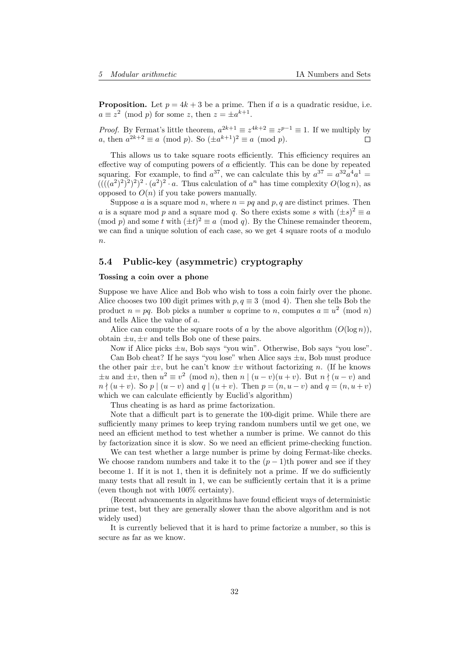**Proposition.** Let  $p = 4k + 3$  be a prime. Then if a is a quadratic residue, i.e.  $a \equiv z^2 \pmod{p}$  for some z, then  $z = \pm a^{k+1}$ .

*Proof.* By Fermat's little theorem,  $a^{2k+1} \equiv z^{4k+2} \equiv z^{p-1} \equiv 1$ . If we multiply by a, then  $a^{2k+2} \equiv a \pmod{p}$ . So  $(\pm a^{k+1})^2 \equiv a \pmod{p}$ .  $\Box$ 

This allows us to take square roots efficiently. This efficiency requires an effective way of computing powers of  $a$  efficiently. This can be done by repeated squaring. For example, to find  $a^{37}$ , we can calculate this by  $a^{37} = a^{32}a^4a^1 =$  $(((a^2)^2)^2)^2)^2 \cdot (a^2)^2 \cdot a$ . Thus calculation of  $a^n$  has time complexity  $O(\log n)$ , as opposed to  $O(n)$  if you take powers manually.

Suppose a is a square mod n, where  $n = pq$  and p, q are distinct primes. Then a is a square mod p and a square mod q. So there exists some s with  $(\pm s)^2 \equiv a$ (mod p) and some t with  $(\pm t)^2 \equiv a \pmod{q}$ . By the Chinese remainder theorem, we can find a unique solution of each case, so we get  $4$  square roots of  $a$  modulo  $n$ .

### <span id="page-31-0"></span>5.4 Public-key (asymmetric) cryptography

#### Tossing a coin over a phone

Suppose we have Alice and Bob who wish to toss a coin fairly over the phone. Alice chooses two 100 digit primes with  $p, q \equiv 3 \pmod{4}$ . Then she tells Bob the product  $n = pq$ . Bob picks a number u coprime to n, computes  $a \equiv u^2 \pmod{n}$ and tells Alice the value of a.

Alice can compute the square roots of a by the above algorithm  $(O(\log n))$ , obtain  $\pm u, \pm v$  and tells Bob one of these pairs.

Now if Alice picks  $\pm u$ , Bob says "you win". Otherwise, Bob says "you lose".

Can Bob cheat? If he says "you lose" when Alice says  $\pm u$ , Bob must produce the other pair  $\pm v$ , but he can't know  $\pm v$  without factorizing n. (If he knows  $\pm u$  and  $\pm v$ , then  $u^2 \equiv v^2 \pmod{n}$ , then  $n \mid (u-v)(u+v)$ . But  $n \nmid (u-v)$  and  $n \nmid (u + v)$ . So  $p \mid (u - v)$  and  $q \mid (u + v)$ . Then  $p = (n, u - v)$  and  $q = (n, u + v)$ which we can calculate efficiently by Euclid's algorithm)

Thus cheating is as hard as prime factorization.

Note that a difficult part is to generate the 100-digit prime. While there are sufficiently many primes to keep trying random numbers until we get one, we need an efficient method to test whether a number is prime. We cannot do this by factorization since it is slow. So we need an efficient prime-checking function.

We can test whether a large number is prime by doing Fermat-like checks. We choose random numbers and take it to the  $(p-1)$ th power and see if they become 1. If it is not 1, then it is definitely not a prime. If we do sufficiently many tests that all result in 1, we can be sufficiently certain that it is a prime (even though not with 100% certainty).

(Recent advancements in algorithms have found efficient ways of deterministic prime test, but they are generally slower than the above algorithm and is not widely used)

It is currently believed that it is hard to prime factorize a number, so this is secure as far as we know.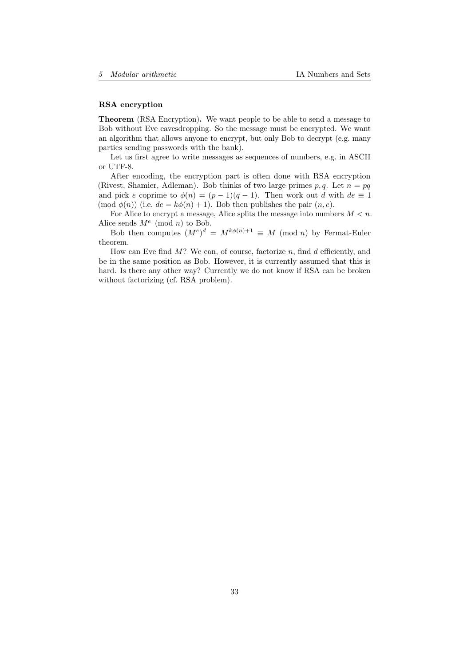#### RSA encryption

Theorem (RSA Encryption). We want people to be able to send a message to Bob without Eve eavesdropping. So the message must be encrypted. We want an algorithm that allows anyone to encrypt, but only Bob to decrypt (e.g. many parties sending passwords with the bank).

Let us first agree to write messages as sequences of numbers, e.g. in ASCII or UTF-8.

After encoding, the encryption part is often done with RSA encryption (Rivest, Shamier, Adleman). Bob thinks of two large primes p, q. Let  $n = pq$ and pick e coprime to  $\phi(n) = (p-1)(q-1)$ . Then work out d with  $de \equiv 1$ (mod  $\phi(n)$ ) (i.e.  $de = k\phi(n) + 1$ ). Bob then publishes the pair  $(n, e)$ .

For Alice to encrypt a message, Alice splits the message into numbers  $M < n$ . Alice sends  $M^e \pmod{n}$  to Bob.

Bob then computes  $(M^e)^d = M^{k\phi(n)+1} \equiv M \pmod{n}$  by Fermat-Euler theorem.

How can Eve find  $M$ ? We can, of course, factorize n, find d efficiently, and be in the same position as Bob. However, it is currently assumed that this is hard. Is there any other way? Currently we do not know if RSA can be broken without factorizing (cf. RSA problem).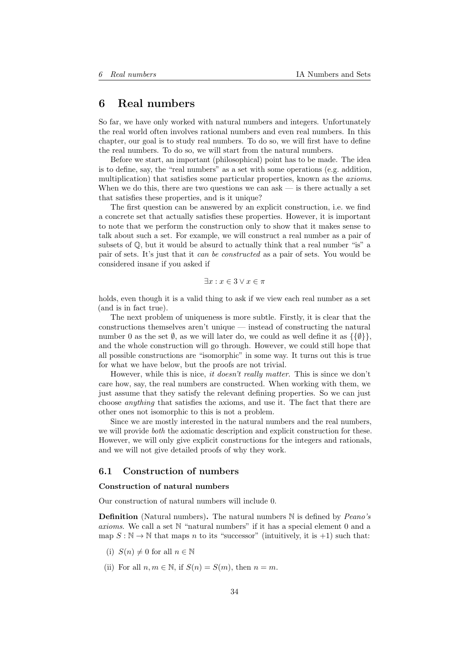# <span id="page-33-0"></span>6 Real numbers

So far, we have only worked with natural numbers and integers. Unfortunately the real world often involves rational numbers and even real numbers. In this chapter, our goal is to study real numbers. To do so, we will first have to define the real numbers. To do so, we will start from the natural numbers.

Before we start, an important (philosophical) point has to be made. The idea is to define, say, the "real numbers" as a set with some operations (e.g. addition, multiplication) that satisfies some particular properties, known as the axioms. When we do this, there are two questions we can ask  $\sim$  is there actually a set that satisfies these properties, and is it unique?

The first question can be answered by an explicit construction, i.e. we find a concrete set that actually satisfies these properties. However, it is important to note that we perform the construction only to show that it makes sense to talk about such a set. For example, we will construct a real number as a pair of subsets of  $\mathbb{Q}$ , but it would be absurd to actually think that a real number "is" a pair of sets. It's just that it can be constructed as a pair of sets. You would be considered insane if you asked if

$$
\exists x : x \in 3 \lor x \in \pi
$$

holds, even though it is a valid thing to ask if we view each real number as a set (and is in fact true).

The next problem of uniqueness is more subtle. Firstly, it is clear that the constructions themselves aren't unique — instead of constructing the natural number 0 as the set  $\emptyset$ , as we will later do, we could as well define it as  $\{\{\emptyset\}\}\$ , and the whole construction will go through. However, we could still hope that all possible constructions are "isomorphic" in some way. It turns out this is true for what we have below, but the proofs are not trivial.

However, while this is nice, it doesn't really matter. This is since we don't care how, say, the real numbers are constructed. When working with them, we just assume that they satisfy the relevant defining properties. So we can just choose anything that satisfies the axioms, and use it. The fact that there are other ones not isomorphic to this is not a problem.

Since we are mostly interested in the natural numbers and the real numbers, we will provide both the axiomatic description and explicit construction for these. However, we will only give explicit constructions for the integers and rationals, and we will not give detailed proofs of why they work.

### <span id="page-33-1"></span>6.1 Construction of numbers

#### Construction of natural numbers

Our construction of natural numbers will include 0.

**Definition** (Natural numbers). The natural numbers  $\mathbb N$  is defined by *Peano's* axioms. We call a set N "natural numbers" if it has a special element 0 and a map  $S : \mathbb{N} \to \mathbb{N}$  that maps n to its "successor" (intuitively, it is +1) such that:

- (i)  $S(n) \neq 0$  for all  $n \in \mathbb{N}$
- (ii) For all  $n, m \in \mathbb{N}$ , if  $S(n) = S(m)$ , then  $n = m$ .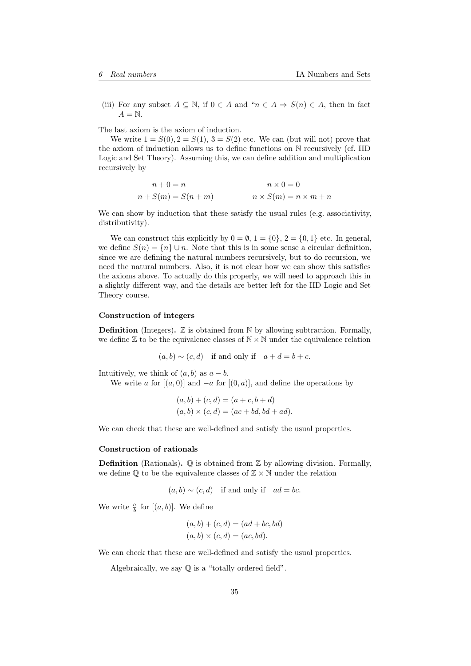(iii) For any subset  $A \subseteq \mathbb{N}$ , if  $0 \in A$  and " $n \in A \Rightarrow S(n) \in A$ , then in fact  $A = N$ .

The last axiom is the axiom of induction.

We write  $1 = S(0), 2 = S(1), 3 = S(2)$  etc. We can (but will not) prove that the axiom of induction allows us to define functions on N recursively (cf. IID Logic and Set Theory). Assuming this, we can define addition and multiplication recursively by

$$
n + 0 = n
$$
  
\n
$$
n + S(m) = S(n + m)
$$
  
\n
$$
n \times S(m) = n \times m + n
$$

We can show by induction that these satisfy the usual rules (e.g. associativity, distributivity).

We can construct this explicitly by  $0 = \emptyset$ ,  $1 = \{0\}$ ,  $2 = \{0, 1\}$  etc. In general, we define  $S(n) = \{n\} \cup n$ . Note that this is in some sense a circular definition, since we are defining the natural numbers recursively, but to do recursion, we need the natural numbers. Also, it is not clear how we can show this satisfies the axioms above. To actually do this properly, we will need to approach this in a slightly different way, and the details are better left for the IID Logic and Set Theory course.

### Construction of integers

**Definition** (Integers).  $\mathbb{Z}$  is obtained from  $\mathbb{N}$  by allowing subtraction. Formally, we define  $\mathbb Z$  to be the equivalence classes of  $\mathbb N \times \mathbb N$  under the equivalence relation

 $(a, b) \sim (c, d)$  if and only if  $a + d = b + c$ .

Intuitively, we think of  $(a, b)$  as  $a - b$ .

We write a for  $[(a, 0)]$  and  $-a$  for  $[(0, a)]$ , and define the operations by

$$
(a, b) + (c, d) = (a + c, b + d)
$$
  

$$
(a, b) \times (c, d) = (ac + bd, bd + ad).
$$

We can check that these are well-defined and satisfy the usual properties.

#### Construction of rationals

**Definition** (Rationals).  $\mathbb{Q}$  is obtained from  $\mathbb{Z}$  by allowing division. Formally, we define  $\mathbb{O}$  to be the equivalence classes of  $\mathbb{Z} \times \mathbb{N}$  under the relation

$$
(a, b) \sim (c, d)
$$
 if and only if  $ad = bc$ .

We write  $\frac{a}{b}$  for  $[(a, b)]$ . We define

$$
(a, b) + (c, d) = (ad + bc, bd)
$$

$$
(a, b) \times (c, d) = (ac, bd).
$$

We can check that these are well-defined and satisfy the usual properties.

Algebraically, we say Q is a "totally ordered field".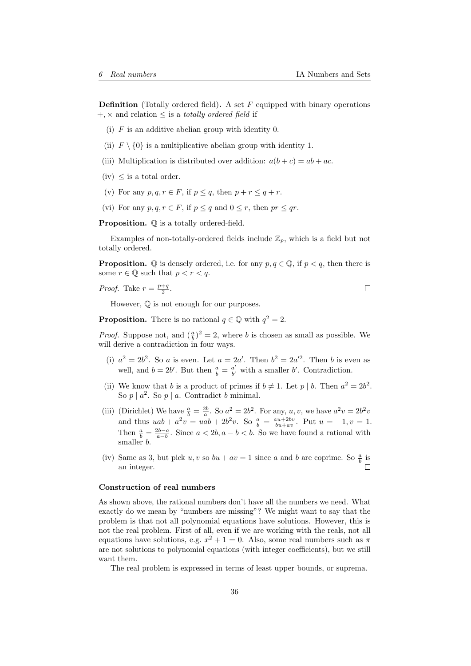**Definition** (Totally ordered field). A set  $F$  equipped with binary operations  $+$ ,  $\times$  and relation  $\leq$  is a *totally ordered field* if

- (i)  $F$  is an additive abelian group with identity 0.
- (ii)  $F \setminus \{0\}$  is a multiplicative abelian group with identity 1.
- (iii) Multiplication is distributed over addition:  $a(b+c) = ab + ac$ .
- (iv)  $\leq$  is a total order.
- (v) For any  $p, q, r \in F$ , if  $p \leq q$ , then  $p + r \leq q + r$ .
- (vi) For any  $p, q, r \in F$ , if  $p \leq q$  and  $0 \leq r$ , then  $pr \leq qr$ .

Proposition.  $\mathbb Q$  is a totally ordered-field.

Examples of non-totally-ordered fields include  $\mathbb{Z}_p$ , which is a field but not totally ordered.

**Proposition.**  $\mathbb Q$  is densely ordered, i.e. for any  $p, q \in \mathbb Q$ , if  $p < q$ , then there is some  $r \in \mathbb{Q}$  such that  $p < r < q$ .

*Proof.* Take 
$$
r = \frac{p+q}{2}
$$
.

However, Q is not enough for our purposes.

**Proposition.** There is no rational  $q \in \mathbb{Q}$  with  $q^2 = 2$ .

*Proof.* Suppose not, and  $(\frac{a}{b})^2 = 2$ , where b is chosen as small as possible. We will derive a contradiction in four ways.

- (i)  $a^2 = 2b^2$ . So a is even. Let  $a = 2a'$ . Then  $b^2 = 2a'^2$ . Then b is even as well, and  $b = 2b'$ . But then  $\frac{a}{b} = \frac{a'}{b'}$  $\frac{a'}{b'}$  with a smaller b'. Contradiction.
- (ii) We know that b is a product of primes if  $b \neq 1$ . Let p | b. Then  $a^2 = 2b^2$ . So  $p \mid a^2$ . So  $p \mid a$ . Contradict b minimal.
- (iii) (Dirichlet) We have  $\frac{a}{b} = \frac{2b}{a}$ . So  $a^2 = 2b^2$ . For any, u, v, we have  $a^2v = 2b^2v$ and thus  $uab + a^2v = uab + 2b^2v$ . So  $\frac{a}{b} = \frac{au + 2bv}{bu + av}$ . Put  $u = -1, v = 1$ . Then  $\frac{a}{b} = \frac{2b-a}{a-b}$ . Since  $a < 2b$ ,  $a - b < b$ . So we have found a rational with smaller b.
- (iv) Same as 3, but pick u, v so  $bu + av = 1$  since a and b are coprime. So  $\frac{a}{b}$  is an integer.

#### Construction of real numbers

As shown above, the rational numbers don't have all the numbers we need. What exactly do we mean by "numbers are missing"? We might want to say that the problem is that not all polynomial equations have solutions. However, this is not the real problem. First of all, even if we are working with the reals, not all equations have solutions, e.g.  $x^2 + 1 = 0$ . Also, some real numbers such as  $\pi$ are not solutions to polynomial equations (with integer coefficients), but we still want them.

The real problem is expressed in terms of least upper bounds, or suprema.

 $\Box$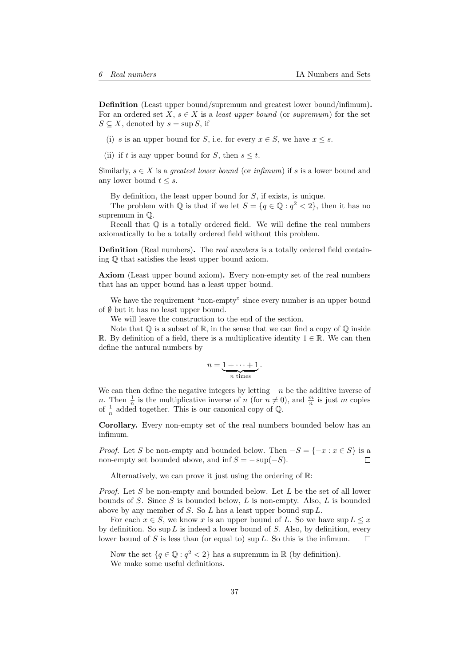Definition (Least upper bound/supremum and greatest lower bound/infimum). For an ordered set  $X, s \in X$  is a least upper bound (or supremum) for the set  $S \subseteq X$ , denoted by  $s = \sup S$ , if

- (i) s is an upper bound for S, i.e. for every  $x \in S$ , we have  $x \leq s$ .
- (ii) if t is any upper bound for S, then  $s \leq t$ .

Similarly,  $s \in X$  is a *greatest lower bound* (or  $\text{infimum}$ ) if s is a lower bound and any lower bound  $t \leq s$ .

By definition, the least upper bound for  $S$ , if exists, is unique.

The problem with  $\mathbb Q$  is that if we let  $S = \{q \in \mathbb Q : q^2 < 2\}$ , then it has no supremum in Q.

Recall that  $\mathbb O$  is a totally ordered field. We will define the real numbers axiomatically to be a totally ordered field without this problem.

Definition (Real numbers). The real numbers is a totally ordered field containing Q that satisfies the least upper bound axiom.

Axiom (Least upper bound axiom). Every non-empty set of the real numbers that has an upper bound has a least upper bound.

We have the requirement "non-empty" since every number is an upper bound of  $\emptyset$  but it has no least upper bound.

We will leave the construction to the end of the section.

Note that  $\mathbb Q$  is a subset of  $\mathbb R$ , in the sense that we can find a copy of  $\mathbb Q$  inside R. By definition of a field, there is a multiplicative identity  $1 \in \mathbb{R}$ . We can then define the natural numbers by

$$
n=\underbrace{1+\cdots+1}_{n \text{ times}}.
$$

We can then define the negative integers by letting  $-n$  be the additive inverse of n. Then  $\frac{1}{n}$  is the multiplicative inverse of n (for  $n \neq 0$ ), and  $\frac{m}{n}$  is just m copies of  $\frac{1}{n}$  added together. This is our canonical copy of  $\mathbb{Q}$ .

Corollary. Every non-empty set of the real numbers bounded below has an infimum.

*Proof.* Let S be non-empty and bounded below. Then  $-S = \{-x : x \in S\}$  is a non-empty set bounded above, and inf  $S = -\sup(-S)$ .  $\Box$ 

Alternatively, we can prove it just using the ordering of R:

*Proof.* Let S be non-empty and bounded below. Let L be the set of all lower bounds of  $S$ . Since  $S$  is bounded below,  $L$  is non-empty. Also,  $L$  is bounded above by any member of S. So  $L$  has a least upper bound sup  $L$ .

For each  $x \in S$ , we know x is an upper bound of L. So we have  $\sup L \leq x$ by definition. So  $\sup L$  is indeed a lower bound of S. Also, by definition, every lower bound of S is less than (or equal to) sup L. So this is the infimum.  $\Box$ 

Now the set  $\{q \in \mathbb{Q} : q^2 < 2\}$  has a supremum in  $\mathbb{R}$  (by definition). We make some useful definitions.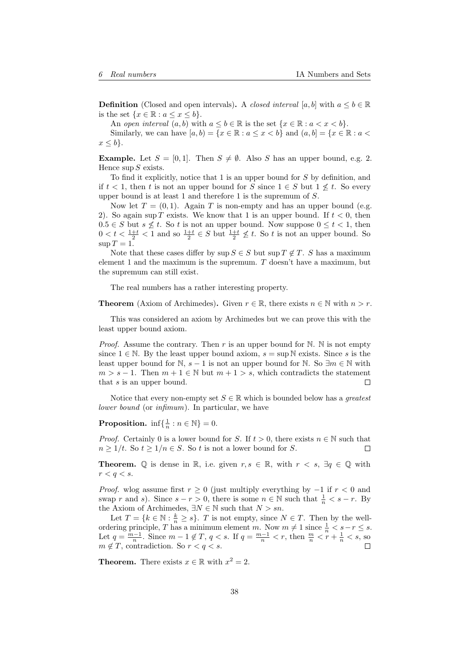**Definition** (Closed and open intervals). A closed interval [a, b] with  $a \leq b \in \mathbb{R}$ is the set  $\{x \in \mathbb{R} : a \leq x \leq b\}.$ 

An open interval  $(a, b)$  with  $a \leq b \in \mathbb{R}$  is the set  $\{x \in \mathbb{R} : a < x < b\}.$ 

Similarly, we can have  $[a, b) = \{x \in \mathbb{R} : a \leq x < b\}$  and  $(a, b) = \{x \in \mathbb{R} : a < b\}$  $x \leq b$ .

**Example.** Let  $S = [0, 1]$ . Then  $S \neq \emptyset$ . Also S has an upper bound, e.g. 2. Hence  $\sup S$  exists.

To find it explicitly, notice that 1 is an upper bound for S by definition, and if  $t < 1$ , then t is not an upper bound for S since  $1 \in S$  but  $1 \nless t$ . So every upper bound is at least 1 and therefore 1 is the supremum of  $S$ .

Now let  $T = (0, 1)$ . Again T is non-empty and has an upper bound (e.g. 2). So again sup T exists. We know that 1 is an upper bound. If  $t < 0$ , then  $0.5 \in S$  but  $s \nleq t$ . So t is not an upper bound. Now suppose  $0 \leq t < 1$ , then  $0 < t < \frac{1+t}{2} < 1$  and so  $\frac{1+t}{2} \in S$  but  $\frac{1+t}{2} \not\leq t$ . So t is not an upper bound. So  $\sup T = 1$ .

Note that these cases differ by  $\sup S \in S$  but  $\sup T \notin T$ . S has a maximum element 1 and the maximum is the supremum.  $T$  doesn't have a maximum, but the supremum can still exist.

The real numbers has a rather interesting property.

**Theorem** (Axiom of Archimedes). Given  $r \in \mathbb{R}$ , there exists  $n \in \mathbb{N}$  with  $n > r$ .

This was considered an axiom by Archimedes but we can prove this with the least upper bound axiom.

*Proof.* Assume the contrary. Then r is an upper bound for  $\mathbb N$ .  $\mathbb N$  is not empty since  $1 \in \mathbb{N}$ . By the least upper bound axiom,  $s = \sup \mathbb{N}$  exists. Since s is the least upper bound for N,  $s - 1$  is not an upper bound for N. So  $\exists m \in \mathbb{N}$  with  $m > s - 1$ . Then  $m + 1 \in \mathbb{N}$  but  $m + 1 > s$ , which contradicts the statement that s is an upper bound.  $\Box$ 

Notice that every non-empty set  $S \in \mathbb{R}$  which is bounded below has a *greatest* lower bound (or infimum). In particular, we have

**Proposition.**  $\inf\{\frac{1}{n}:n\in\mathbb{N}\}=0.$ 

*Proof.* Certainly 0 is a lower bound for S. If  $t > 0$ , there exists  $n \in \mathbb{N}$  such that  $n \geq 1/t$ . So  $t \geq 1/n \in S$ . So t is not a lower bound for S. П

**Theorem.**  $\mathbb Q$  is dense in  $\mathbb R$ , i.e. given  $r, s \in \mathbb R$ , with  $r < s$ ,  $\exists q \in \mathbb Q$  with  $r < q < s$ .

*Proof.* wlog assume first  $r \geq 0$  (just multiply everything by  $-1$  if  $r < 0$  and swap r and s). Since  $s - r > 0$ , there is some  $n \in \mathbb{N}$  such that  $\frac{1}{n} < s - r$ . By the Axiom of Archimedes,  $\exists N \in \mathbb{N}$  such that  $N > sn$ .

Let  $T = \{k \in \mathbb{N} : \frac{k}{n} \geq s\}$ . T is not empty, since  $N \in T$ . Then by the wellordering principle, T has a minimum element m. Now  $m \neq 1$  since  $\frac{1}{n} < s-r \leq s$ . Let  $q = \frac{m-1}{n}$ . Since  $m-1 \notin T$ ,  $q < s$ . If  $q = \frac{m-1}{n} < r$ , then  $\frac{m}{n} < r + \frac{1}{n} < s$ , so  $m \notin T$ , contradiction. So  $r < q < s$ .

**Theorem.** There exists  $x \in \mathbb{R}$  with  $x^2 = 2$ .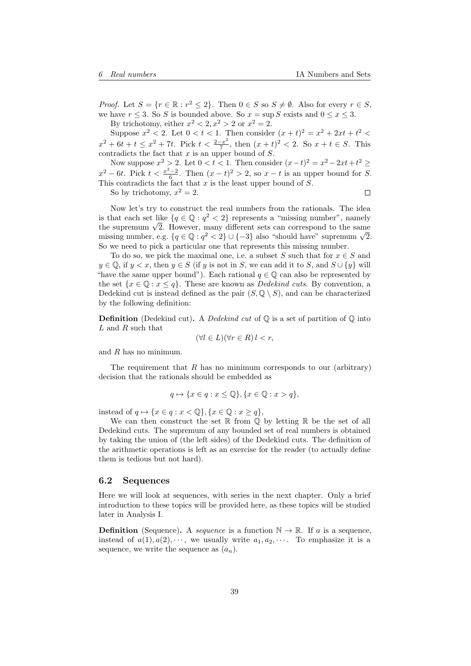*Proof.* Let  $S = \{r \in \mathbb{R} : r^2 \leq 2\}$ . Then  $0 \in S$  so  $S \neq \emptyset$ . Also for every  $r \in S$ , we have  $r \leq 3$ . So S is bounded above. So  $x = \sup S$  exists and  $0 \leq x \leq 3$ . By trichotomy, either  $x^2 < 2, x^2 > 2$  or  $x^2 = 2$ .

Suppose  $x^2 < 2$ . Let  $0 < t < 1$ . Then consider  $(x + t)^2 = x^2 + 2xt + t^2 <$  $x^2 + 6t + t \leq x^2 + 7t$ . Pick  $t < \frac{2-x^2}{7}$  $\frac{-x^2}{7}$ , then  $(x+t)^2 < 2$ . So  $x+t \in S$ . This contradicts the fact that  $x$  is an upper bound of  $S$ .

Now suppose  $x^2 > 2$ . Let  $0 < t < 1$ . Then consider  $(x-t)^2 = x^2 - 2xt + t^2 \ge$  $x^2 - 6t$ . Pick  $t < \frac{x^2 - 2}{6}$ . Then  $(x - t)^2 > 2$ , so  $x - t$  is an upper bound for S. This contradicts the fact that  $x$  is the least upper bound of  $S$ .

So by trichotomy,  $x^2 = 2$ .

 $\Box$ 

Now let's try to construct the real numbers from the rationals. The idea is that each set like  $\{q \in \mathbb{Q} : q^2 < 2\}$  represents a "missing number", namely the supremum  $\sqrt{2}$ . However, many different sets can correspond to the same<br>the supremum  $\sqrt{2}$ . However, many different sets can correspond to the same the supremum  $\sqrt{2}$ . However, many different sets can correspond to the same missing number, e.g.  $\{q \in \mathbb{Q} : q^2 < 2\} \cup \{-3\}$  also "should have" supremum  $\sqrt{2}$ . So we need to pick a particular one that represents this missing number.

To do so, we pick the maximal one, i.e. a subset S such that for  $x \in S$  and  $y \in \mathbb{Q}$ , if  $y < x$ , then  $y \in S$  (if y is not in S, we can add it to S, and  $S \cup \{y\}$  will "have the same upper bound"). Each rational  $q \in \mathbb{Q}$  can also be represented by the set  $\{x \in \mathbb{Q} : x \leq q\}$ . These are known as *Dedekind cuts*. By convention, a Dedekind cut is instead defined as the pair  $(S, \mathbb{Q} \setminus S)$ , and can be characterized by the following definition:

**Definition** (Dedekind cut). A *Dedekind cut* of  $\mathbb{Q}$  is a set of partition of  $\mathbb{Q}$  into L and R such that

$$
(\forall l \in L)(\forall r \in R) l < r,
$$

and  $R$  has no minimum.

The requirement that  $R$  has no minimum corresponds to our (arbitrary) decision that the rationals should be embedded as

$$
q \mapsto \{x \in q : x \leq \mathbb{Q}\}, \{x \in \mathbb{Q} : x > q\},\
$$

instead of  $q \mapsto \{x \in q : x < \mathbb{Q}\}, \{x \in \mathbb{Q} : x \geq q\},\$ 

We can then construct the set  $\mathbb R$  from  $\mathbb Q$  by letting  $\mathbb R$  be the set of all Dedekind cuts. The supremum of any bounded set of real numbers is obtained by taking the union of (the left sides) of the Dedekind cuts. The definition of the arithmetic operations is left as an exercise for the reader (to actually define them is tedious but not hard).

#### <span id="page-38-0"></span>6.2 Sequences

Here we will look at sequences, with series in the next chapter. Only a brief introduction to these topics will be provided here, as these topics will be studied later in Analysis I.

**Definition** (Sequence). A *sequence* is a function  $\mathbb{N} \to \mathbb{R}$ . If a is a sequence, instead of  $a(1), a(2), \cdots$ , we usually write  $a_1, a_2, \cdots$ . To emphasize it is a sequence, we write the sequence as  $(a_n)$ .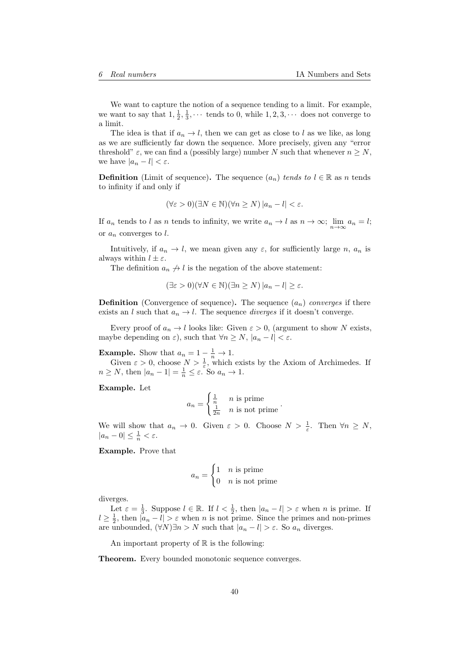We want to capture the notion of a sequence tending to a limit. For example, we want to say that  $1, \frac{1}{2}, \frac{1}{3}, \cdots$  tends to 0, while  $1, 2, 3, \cdots$  does not converge to a limit.

The idea is that if  $a_n \to l$ , then we can get as close to l as we like, as long as we are sufficiently far down the sequence. More precisely, given any "error threshold"  $\varepsilon$ , we can find a (possibly large) number N such that whenever  $n \geq N$ , we have  $|a_n - l| < \varepsilon$ .

**Definition** (Limit of sequence). The sequence  $(a_n)$  tends to  $l \in \mathbb{R}$  as n tends to infinity if and only if

$$
(\forall \varepsilon > 0)(\exists N \in \mathbb{N})(\forall n \ge N) |a_n - l| < \varepsilon.
$$

If  $a_n$  tends to l as n tends to infinity, we write  $a_n \to l$  as  $n \to \infty$ ;  $\lim_{n \to \infty} a_n = l$ ; or  $a_n$  converges to l.

Intuitively, if  $a_n \to l$ , we mean given any  $\varepsilon$ , for sufficiently large n,  $a_n$  is always within  $l \pm \varepsilon$ .

The definition  $a_n \nightharpoonup l$  is the negation of the above statement:

$$
(\exists \varepsilon > 0)(\forall N \in \mathbb{N})(\exists n \ge N) |a_n - l| \ge \varepsilon.
$$

**Definition** (Convergence of sequence). The sequence  $(a_n)$  converges if there exists an l such that  $a_n \to l$ . The sequence diverges if it doesn't converge.

Every proof of  $a_n \to l$  looks like: Given  $\varepsilon > 0$ , (argument to show N exists, maybe depending on  $\varepsilon$ ), such that  $\forall n \geq N$ ,  $|a_n - l| < \varepsilon$ .

**Example.** Show that  $a_n = 1 - \frac{1}{n} \rightarrow 1$ .

Given  $\varepsilon > 0$ , choose  $N > \frac{1}{\varepsilon}$ , which exists by the Axiom of Archimedes. If  $n \ge N$ , then  $|a_n - 1| = \frac{1}{n} \le \varepsilon$ . So  $a_n \to 1$ .

Example. Let

$$
a_n = \begin{cases} \frac{1}{n} & n \text{ is prime} \\ \frac{1}{2n} & n \text{ is not prime} \end{cases}.
$$

We will show that  $a_n \to 0$ . Given  $\varepsilon > 0$ . Choose  $N > \frac{1}{\varepsilon}$ . Then  $\forall n \ge N$ ,  $|a_n - 0| \leq \frac{1}{n} < \varepsilon.$ 

Example. Prove that

$$
a_n = \begin{cases} 1 & n \text{ is prime} \\ 0 & n \text{ is not prime} \end{cases}
$$

diverges.

Let  $\varepsilon = \frac{1}{3}$ . Suppose  $l \in \mathbb{R}$ . If  $l < \frac{1}{2}$ , then  $|a_n - l| > \varepsilon$  when n is prime. If  $l \geq \frac{1}{2}$ , then  $|a_n - l| > \varepsilon$  when n is not prime. Since the primes and non-primes are unbounded,  $(\forall N)\exists n>N$  such that  $|a_n-l|>\varepsilon$ . So  $a_n$  diverges.

An important property of  $\mathbb R$  is the following:

Theorem. Every bounded monotonic sequence converges.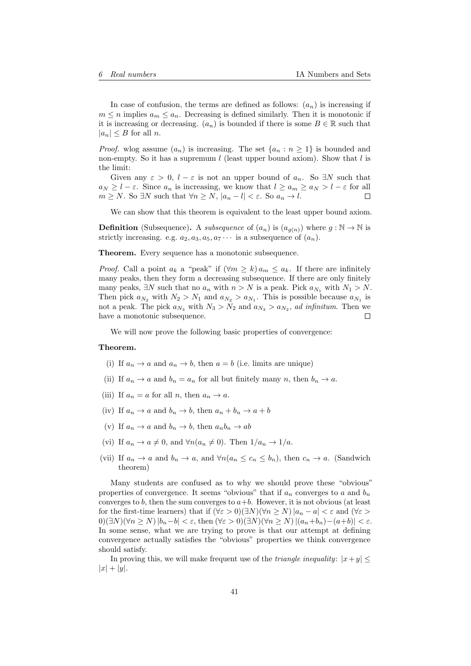In case of confusion, the terms are defined as follows:  $(a_n)$  is increasing if  $m \leq n$  implies  $a_m \leq a_n$ . Decreasing is defined similarly. Then it is monotonic if it is increasing or decreasing.  $(a_n)$  is bounded if there is some  $B \in \mathbb{R}$  such that  $|a_n| \leq B$  for all n.

*Proof.* wlog assume  $(a_n)$  is increasing. The set  $\{a_n : n \geq 1\}$  is bounded and non-empty. So it has a supremum  $l$  (least upper bound axiom). Show that  $l$  is the limit:

Given any  $\varepsilon > 0$ ,  $l - \varepsilon$  is not an upper bound of  $a_n$ . So  $\exists N$  such that  $a_N \geq l - \varepsilon$ . Since  $a_n$  is increasing, we know that  $l \geq a_m \geq a_N > l - \varepsilon$  for all  $m \geq N$ . So  $\exists N$  such that  $\forall n \geq N$ ,  $|a_n - l| < \varepsilon$ . So  $a_n \to l$ .  $\Box$ 

We can show that this theorem is equivalent to the least upper bound axiom.

**Definition** (Subsequence). A *subsequence* of  $(a_n)$  is  $(a_{g(n)})$  where  $g : \mathbb{N} \to \mathbb{N}$  is strictly increasing. e.g.  $a_2, a_3, a_5, a_7 \cdots$  is a subsequence of  $(a_n)$ .

Theorem. Every sequence has a monotonic subsequence.

*Proof.* Call a point  $a_k$  a "peak" if  $(\forall m \ge k) a_m \le a_k$ . If there are infinitely many peaks, then they form a decreasing subsequence. If there are only finitely many peaks,  $\exists N$  such that no  $a_n$  with  $n > N$  is a peak. Pick  $a_{N_1}$  with  $N_1 > N$ . Then pick  $a_{N_2}$  with  $N_2 > N_1$  and  $a_{N_2} > a_{N_1}$ . This is possible because  $a_{N_1}$  is not a peak. The pick  $a_{N_3}$  with  $N_3 > N_2$  and  $a_{N_3} > a_{N_2}$ , ad infinitum. Then we have a monotonic subsequence.  $\Box$ 

We will now prove the following basic properties of convergence:

#### Theorem.

- (i) If  $a_n \to a$  and  $a_n \to b$ , then  $a = b$  (i.e. limits are unique)
- (ii) If  $a_n \to a$  and  $b_n = a_n$  for all but finitely many n, then  $b_n \to a$ .
- (iii) If  $a_n = a$  for all n, then  $a_n \to a$ .
- (iv) If  $a_n \to a$  and  $b_n \to b$ , then  $a_n + b_n \to a + b$
- (v) If  $a_n \to a$  and  $b_n \to b$ , then  $a_n b_n \to ab$
- (vi) If  $a_n \to a \neq 0$ , and  $\forall n(a_n \neq 0)$ . Then  $1/a_n \to 1/a$ .
- (vii) If  $a_n \to a$  and  $b_n \to a$ , and  $\forall n (a_n \leq c_n \leq b_n)$ , then  $c_n \to a$ . (Sandwich theorem)

Many students are confused as to why we should prove these "obvious" properties of convergence. It seems "obvious" that if  $a_n$  converges to a and  $b_n$ converges to  $b$ , then the sum converges to  $a+b$ . However, it is not obvious (at least for the first-time learners) that if  $(\forall \varepsilon > 0)(\exists N)(\forall n \ge N) |a_n - a| < \varepsilon$  and  $(\forall \varepsilon > 0)(\exists N)(\forall n \ge N)$  $0$  $(∃N)(∀n ≥ N) |b_n-b| < ε$ , then  $(∀ε > 0)(∃N)(∀n ≥ N) |(a_n+b_n)-(a+b)| < ε$ . In some sense, what we are trying to prove is that our attempt at defining convergence actually satisfies the "obvious" properties we think convergence should satisfy.

In proving this, we will make frequent use of the *triangle inequality*:  $|x+y|$  $|x| + |y|$ .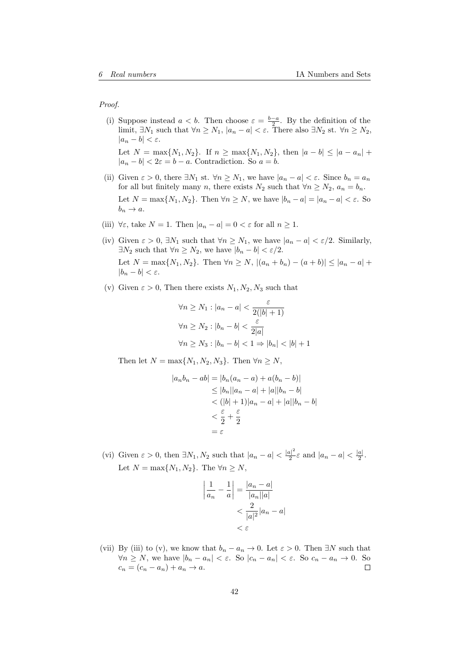Proof.

- (i) Suppose instead  $a < b$ . Then choose  $\varepsilon = \frac{b-a}{2}$ . By the definition of the limit,  $\exists N_1$  such that  $\forall n \ge N_1$ ,  $|a_n - a| < \varepsilon$ . There also  $\exists N_2$  st.  $\forall n \ge N_2$ ,  $|a_n - b| < \varepsilon$ . Let  $N = \max\{N_1, N_2\}$ . If  $n \ge \max\{N_1, N_2\}$ , then  $|a - b| \le |a - a_n| +$  $|a_n - b| < 2\varepsilon = b - a$ . Contradiction. So  $a = b$ .
- (ii) Given  $\varepsilon > 0$ , there  $\exists N_1$  st.  $\forall n \ge N_1$ , we have  $|a_n a| < \varepsilon$ . Since  $b_n = a_n$ for all but finitely many n, there exists  $N_2$  such that  $\forall n \ge N_2$ ,  $a_n = b_n$ . Let  $N = \max\{N_1, N_2\}$ . Then  $\forall n \ge N$ , we have  $|b_n - a| = |a_n - a| < \varepsilon$ . So  $b_n \to a$ .
- (iii)  $\forall \varepsilon$ , take  $N = 1$ . Then  $|a_n a| = 0 < \varepsilon$  for all  $n \ge 1$ .
- (iv) Given  $\varepsilon > 0$ ,  $\exists N_1$  such that  $\forall n \ge N_1$ , we have  $|a_n a| < \varepsilon/2$ . Similarly,  $\exists N_2$  such that  $\forall n \geq N_2$ , we have  $|b_n - b| < \varepsilon/2$ . Let  $N = \max\{N_1, N_2\}$ . Then  $\forall n \ge N$ ,  $|(a_n + b_n) - (a + b)| \le |a_n - a| +$  $|b_n - b| < \varepsilon$ .
- (v) Given  $\varepsilon > 0$ , Then there exists  $N_1, N_2, N_3$  such that

$$
\forall n \ge N_1 : |a_n - a| < \frac{\varepsilon}{2(|b| + 1)}
$$
\n
$$
\forall n \ge N_2 : |b_n - b| < \frac{\varepsilon}{2|a|}
$$
\n
$$
\forall n \ge N_3 : |b_n - b| < 1 \Rightarrow |b_n| < |b| + 1
$$

Then let  $N = \max\{N_1, N_2, N_3\}$ . Then  $\forall n \ge N$ ,

$$
|a_n b_n - ab| = |b_n(a_n - a) + a(b_n - b)|
$$
  
\n
$$
\leq |b_n||a_n - a| + |a||b_n - b|
$$
  
\n
$$
< (|b| + 1)|a_n - a| + |a||b_n - b|
$$
  
\n
$$
< \frac{\varepsilon}{2} + \frac{\varepsilon}{2}
$$
  
\n
$$
= \varepsilon
$$

(vi) Given  $\varepsilon > 0$ , then  $\exists N_1, N_2$  such that  $|a_n - a| < \frac{|a|^2}{2}$  $\frac{|a|^2}{2}\varepsilon$  and  $|a_n - a| < \frac{|a|}{2}$  $\frac{a_1}{2}$ . Let  $N = \max\{N_1, N_2\}$ . The  $\forall n \ge N$ ,

$$
\left|\frac{1}{a_n} - \frac{1}{a}\right| = \frac{|a_n - a|}{|a_n||a|}
$$

$$
< \frac{2}{|a|^2} |a_n - a|
$$

$$
< \varepsilon
$$

(vii) By (iii) to (v), we know that  $b_n - a_n \to 0$ . Let  $\varepsilon > 0$ . Then  $\exists N$  such that  $\forall n \geq N$ , we have  $|b_n - a_n| < \varepsilon$ . So  $|c_n - a_n| < \varepsilon$ . So  $c_n - a_n \to 0$ . So  $c_n = (c_n - a_n) + a_n \rightarrow a.$  $\Box$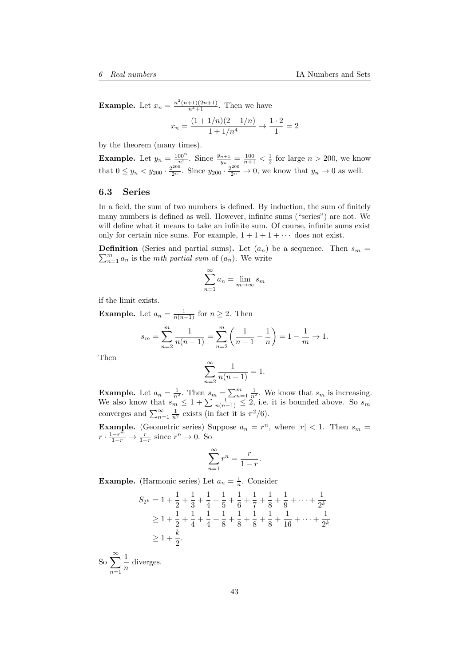**Example.** Let  $x_n = \frac{n^2(n+1)(2n+1)}{n^4+1}$ . Then we have

$$
x_n = \frac{(1 + 1/n)(2 + 1/n)}{1 + 1/n^4} \to \frac{1 \cdot 2}{1} = 2
$$

by the theorem (many times).

**Example.** Let  $y_n = \frac{100^n}{n!}$ . Since  $\frac{y_{n+1}}{y_n} = \frac{100}{n+1} < \frac{1}{2}$  for large  $n > 200$ , we know that  $0 \le y_n < y_{200} \cdot \frac{2^{200}}{2^n}$ . Since  $y_{200} \cdot \frac{2^{200}}{2^n} \to 0$ , we know that  $y_n \to 0$  as well.

### <span id="page-42-0"></span>6.3 Series

In a field, the sum of two numbers is defined. By induction, the sum of finitely many numbers is defined as well. However, infinite sums ("series") are not. We will define what it means to take an infinite sum. Of course, infinite sums exist only for certain nice sums. For example,  $1 + 1 + 1 + \cdots$  does not exist.

 $\sum_{n=1}^{m} a_n$  is the *mth partial sum* of  $(a_n)$ . We write **Definition** (Series and partial sums). Let  $(a_n)$  be a sequence. Then  $s_m$  =

$$
\sum_{n=1}^{\infty} a_n = \lim_{m \to \infty} s_m
$$

if the limit exists.

**Example.** Let  $a_n = \frac{1}{n(n-1)}$  for  $n \geq 2$ . Then

$$
s_m = \sum_{n=2}^{m} \frac{1}{n(n-1)} = \sum_{n=2}^{m} \left( \frac{1}{n-1} - \frac{1}{n} \right) = 1 - \frac{1}{m} \to 1.
$$

Then

$$
\sum_{n=2}^{\infty} \frac{1}{n(n-1)} = 1.
$$

**Example.** Let  $a_n = \frac{1}{n^2}$ . Then  $s_m = \sum_{n=1}^m \frac{1}{n^2}$ . We know that  $s_m$  is increasing. We also know that  $s_m \leq 1 + \sum_{n=1}^{\infty} \frac{1}{n(n-1)} \leq 2$ , i.e. it is bounded above. So  $s_m$ converges and  $\sum_{n=1}^{\infty} \frac{1}{n^2}$  exists (in fact it is  $\pi^2/6$ ).

**Example.** (Geometric series) Suppose  $a_n = r^n$ , where  $|r| < 1$ . Then  $s_m =$  $r \cdot \frac{1-r^{\tilde{m}}}{1-r} \to \frac{r}{1-r}$  since  $r^n \to 0$ . So

$$
\sum_{n=1}^{\infty} r^n = \frac{r}{1-r}.
$$

**Example.** (Harmonic series) Let  $a_n = \frac{1}{n}$ . Consider

$$
S_{2^{k}} = 1 + \frac{1}{2} + \frac{1}{3} + \frac{1}{4} + \frac{1}{5} + \frac{1}{6} + \frac{1}{7} + \frac{1}{8} + \frac{1}{9} + \dots + \frac{1}{2^{k}}
$$
  
\n
$$
\geq 1 + \frac{1}{2} + \frac{1}{4} + \frac{1}{4} + \frac{1}{8} + \frac{1}{8} + \frac{1}{8} + \frac{1}{8} + \frac{1}{16} + \dots + \frac{1}{2^{k}}
$$
  
\n
$$
\geq 1 + \frac{k}{2}.
$$

 $\int_{\mathcal{S}_{\Omega}}^{\infty}$  $n=1$ 1  $\frac{1}{n}$  diverges.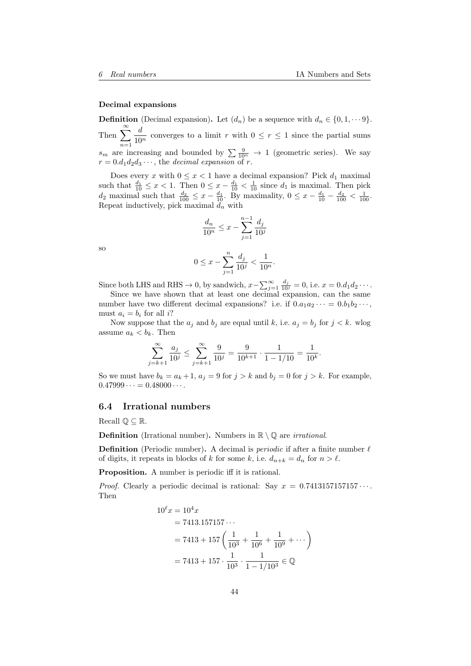#### Decimal expansions

**Definition** (Decimal expansion). Let  $(d_n)$  be a sequence with  $d_n \in \{0, 1, \dots 9\}$ . Then  $\sum_{n=1}^{\infty}$  $n=1$ d  $\frac{a}{10^n}$  converges to a limit r with  $0 \le r \le 1$  since the partial sums  $s_m$  are increasing and bounded by  $\sum \frac{9}{10^n} \rightarrow 1$  (geometric series). We say  $r = 0.d_1d_2d_3\cdots$ , the *decimal expansion* of r.

Does every x with  $0 \leq x < 1$  have a decimal expansion? Pick  $d_1$  maximal such that  $\frac{d_1}{10} \leq x < 1$ . Then  $0 \leq x - \frac{d_1}{10} < \frac{1}{10}$  since  $d_1$  is maximal. Then pick  $d_2$  maximal such that  $\frac{d_2}{100} \leq x - \frac{d_1}{10}$ . By maximality,  $0 \leq x - \frac{d_1}{10} - \frac{d_2}{100} < \frac{1}{100}$ . Repeat inductively, pick maximal  $d_n$  with

$$
\frac{d_n}{10^n} \le x - \sum_{j=1}^{n-1} \frac{d_j}{10^j}
$$

so

$$
0 \le x - \sum_{j=1}^{n} \frac{d_j}{10^j} < \frac{1}{10^n}.
$$

Since both LHS and RHS  $\rightarrow$  0, by sandwich,  $x - \sum_{j=1}^{\infty} \frac{d_j}{10^j} = 0$ , i.e.  $x = 0.d_1d_2\cdots$ .

Since we have shown that at least one decimal expansion, can the same number have two different decimal expansions? i.e. if  $0.a_1a_2\cdots = 0.b_1b_2\cdots$ , must  $a_i = b_i$  for all i?

Now suppose that the  $a_j$  and  $b_j$  are equal until k, i.e.  $a_j = b_j$  for  $j < k$ . wlog assume  $a_k < b_k$ . Then

$$
\sum_{j=k+1}^{\infty} \frac{a_j}{10^j} \le \sum_{j=k+1}^{\infty} \frac{9}{10^j} = \frac{9}{10^{k+1}} \cdot \frac{1}{1 - 1/10} = \frac{1}{10^k}.
$$

So we must have  $b_k = a_k + 1$ ,  $a_j = 9$  for  $j > k$  and  $b_j = 0$  for  $j > k$ . For example,  $0.47999 \cdots = 0.48000 \cdots$ 

#### <span id="page-43-0"></span>6.4 Irrational numbers

Recall  $\mathbb{O} \subseteq \mathbb{R}$ .

**Definition** (Irrational number). Numbers in  $\mathbb{R} \setminus \mathbb{Q}$  are *irrational*.

**Definition** (Periodic number). A decimal is *periodic* if after a finite number  $\ell$ of digits, it repeats in blocks of k for some k, i.e.  $d_{n+k} = d_n$  for  $n > \ell$ .

Proposition. A number is periodic iff it is rational.

*Proof.* Clearly a periodic decimal is rational: Say  $x = 0.7413157157157...$ Then

$$
10^{\ell}x = 10^{4}x
$$
  
= 7413.157157...  
= 7413 + 157  $\left(\frac{1}{10^{3}} + \frac{1}{10^{6}} + \frac{1}{10^{9}} + ...\right)$   
= 7413 + 157 \cdot  $\frac{1}{10^{3}} \cdot \frac{1}{1 - 1/10^{3}} \in \mathbb{Q}$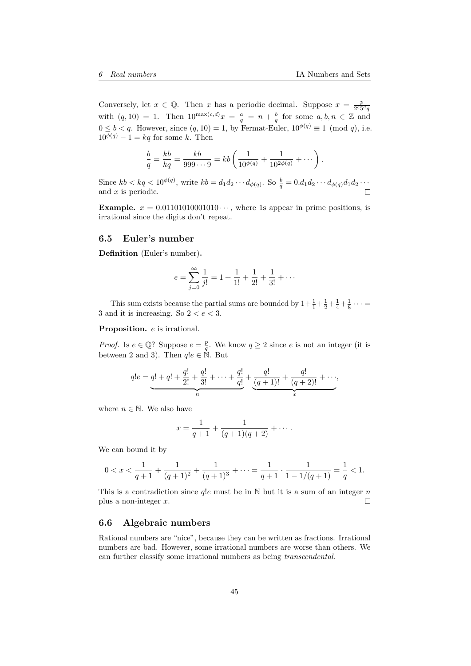Conversely, let  $x \in \mathbb{Q}$ . Then x has a periodic decimal. Suppose  $x = \frac{p}{\gamma c_5}$  $2^c 5^d q$ with  $(q, 10) = 1$ . Then  $10^{\max(c,d)}x = \frac{a}{q} = n + \frac{b}{q}$  for some  $a, b, n \in \mathbb{Z}$  and  $0 \leq b < q$ . However, since  $(q, 10) = 1$ , by Fermat-Euler,  $10^{\phi(q)} \equiv 1 \pmod{q}$ , i.e.  $10^{\phi(q)} - 1 = kq$  for some k. Then

$$
\frac{b}{q} = \frac{kb}{kq} = \frac{kb}{999 \cdots 9} = kb \left( \frac{1}{10^{\phi(q)}} + \frac{1}{10^{2\phi(q)}} + \cdots \right).
$$

Since  $kb < kq < 10^{\phi(q)}$ , write  $kb = d_1 d_2 \cdots d_{\phi(q)}$ . So  $\frac{b}{q} = 0.d_1 d_2 \cdots d_{\phi(q)} d_1 d_2 \cdots$ and x is periodic.

**Example.**  $x = 0.01101010001010 \cdots$ , where 1s appear in prime positions, is irrational since the digits don't repeat.

### <span id="page-44-0"></span>6.5 Euler's number

Definition (Euler's number).

$$
e = \sum_{j=0}^{\infty} \frac{1}{j!} = 1 + \frac{1}{1!} + \frac{1}{2!} + \frac{1}{3!} + \cdots
$$

This sum exists because the partial sums are bounded by  $1 + \frac{1}{1} + \frac{1}{2} + \frac{1}{4} + \frac{1}{8} \cdots$ 3 and it is increasing. So  $2 < e < 3$ .

Proposition. *e* is irrational.

*Proof.* Is  $e \in \mathbb{Q}$ ? Suppose  $e = \frac{p}{q}$ . We know  $q \ge 2$  since e is not an integer (it is between 2 and 3). Then  $q!e \in \mathbb{N}$ . But

$$
q!e = \underbrace{q! + q! + \frac{q!}{2!} + \frac{q!}{3!} + \cdots + \frac{q!}{q!}}_{n} + \underbrace{\frac{q!}{(q+1)!} + \frac{q!}{(q+2)!} + \cdots}_{x},
$$

where  $n \in \mathbb{N}$ . We also have

$$
x = \frac{1}{q+1} + \frac{1}{(q+1)(q+2)} + \cdots
$$

We can bound it by

$$
0 < x < \frac{1}{q+1} + \frac{1}{(q+1)^2} + \frac{1}{(q+1)^3} + \cdots = \frac{1}{q+1} \cdot \frac{1}{1 - 1/(q+1)} = \frac{1}{q} < 1.
$$

This is a contradiction since  $q!e$  must be in N but it is a sum of an integer n plus a non-integer  $x$ .  $\Box$ 

## <span id="page-44-1"></span>6.6 Algebraic numbers

Rational numbers are "nice", because they can be written as fractions. Irrational numbers are bad. However, some irrational numbers are worse than others. We can further classify some irrational numbers as being transcendental.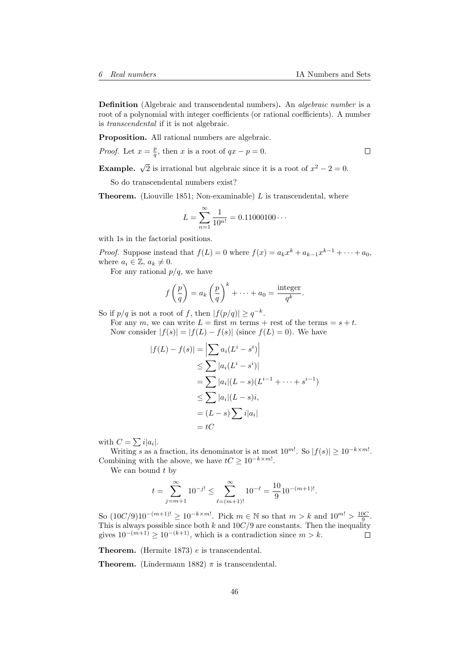Definition (Algebraic and transcendental numbers). An *algebraic number* is a root of a polynomial with integer coefficients (or rational coefficients). A number is transcendental if it is not algebraic.

Proposition. All rational numbers are algebraic.

*Proof.* Let  $x = \frac{p}{q}$ , then x is a root of  $qx - p = 0$ .

**Example.**  $\sqrt{2}$  is irrational but algebraic since it is a root of  $x^2 - 2 = 0$ .

So do transcendental numbers exist?

**Theorem.** (Liouville 1851; Non-examinable)  $L$  is transcendental, where

$$
L = \sum_{n=1}^{\infty} \frac{1}{10^{n!}} = 0.11000100 \cdots
$$

with 1s in the factorial positions.

*Proof.* Suppose instead that  $f(L) = 0$  where  $f(x) = a_k x^k + a_{k-1} x^{k-1} + \cdots + a_0$ , where  $a_i \in \mathbb{Z}, a_k \neq 0$ .

For any rational  $p/q$ , we have

$$
f\left(\frac{p}{q}\right) = a_k \left(\frac{p}{q}\right)^k + \dots + a_0 = \frac{\text{integer}}{q^k}.
$$

So if  $p/q$  is not a root of f, then  $|f(p/q)| \geq q^{-k}$ .

For any m, we can write  $L =$  first m terms + rest of the terms =  $s + t$ . Now consider  $|f(s)| = |f(L) - f(s)|$  (since  $f(L) = 0$ ). We have

$$
|f(L) - f(s)| = \left| \sum a_i (L^i - s^i) \right|
$$
  
\n
$$
\leq \sum |a_i (L^i - s^i)|
$$
  
\n
$$
= \sum |a_i|(L - s)(L^{i-1} + \dots + s^{i-1})
$$
  
\n
$$
\leq \sum |a_i|(L - s)i,
$$
  
\n
$$
= (L - s) \sum i|a_i|
$$
  
\n
$$
= tC
$$

with  $C = \sum i |a_i|$ .

Writing s as a fraction, its denominator is at most  $10^{m!}$ . So  $|f(s)| \ge 10^{-k \times m!}$ . Combining with the above, we have  $tC \geq 10^{-k \times m!}$ .

We can bound  $t$  by

$$
t = \sum_{j=m+1}^{\infty} 10^{-j!} \le \sum_{\ell=(m+1)!}^{\infty} 10^{-\ell} = \frac{10}{9} 10^{-(m+1)!}.
$$

So  $(10C/9)10^{-(m+1)!} \ge 10^{-k \times m!}$ . Pick  $m \in \mathbb{N}$  so that  $m > k$  and  $10^{m!} > \frac{10C}{9}$ . This is always possible since both k and  $10C/9$  are constants. Then the inequality gives  $10^{-(m+1)} \ge 10^{-(k+1)}$ , which is a contradiction since  $m > k$ .

Theorem. (Hermite 1873) e is transcendental.

**Theorem.** (Lindermann 1882)  $\pi$  is transcendental.

 $\Box$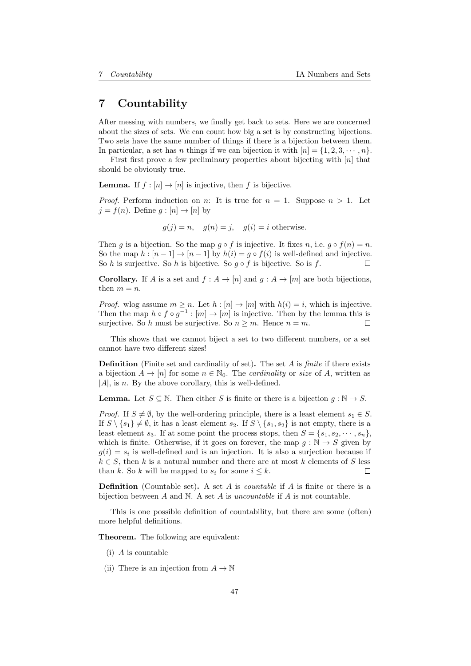# <span id="page-46-0"></span>7 Countability

After messing with numbers, we finally get back to sets. Here we are concerned about the sizes of sets. We can count how big a set is by constructing bijections. Two sets have the same number of things if there is a bijection between them. In particular, a set has *n* things if we can bijection it with  $[n] = \{1, 2, 3, \dots, n\}$ .

First first prove a few preliminary properties about bijecting with  $[n]$  that should be obviously true.

**Lemma.** If  $f : [n] \to [n]$  is injective, then f is bijective.

*Proof.* Perform induction on n: It is true for  $n = 1$ . Suppose  $n > 1$ . Let  $j = f(n)$ . Define  $g : [n] \rightarrow [n]$  by

 $g(j) = n$ ,  $g(n) = j$ ,  $g(i) = i$  otherwise.

Then g is a bijection. So the map  $g \circ f$  is injective. It fixes n, i.e.  $g \circ f(n) = n$ . So the map  $h : [n-1] \to [n-1]$  by  $h(i) = g \circ f(i)$  is well-defined and injective. So h is surjective. So h is bijective. So  $g \circ f$  is bijective. So is f.  $\Box$ 

**Corollary.** If A is a set and  $f : A \to [n]$  and  $g : A \to [m]$  are both bijections, then  $m = n$ .

*Proof.* wlog assume  $m > n$ . Let  $h : [n] \to [m]$  with  $h(i) = i$ , which is injective. Then the map  $h \circ f \circ g^{-1} : [m] \to [m]$  is injective. Then by the lemma this is surjective. So h must be surjective. So  $n \geq m$ . Hence  $n = m$ .  $\Box$ 

This shows that we cannot biject a set to two different numbers, or a set cannot have two different sizes!

**Definition** (Finite set and cardinality of set). The set  $A$  is *finite* if there exists a bijection  $A \to [n]$  for some  $n \in \mathbb{N}_0$ . The *cardinality* or *size* of A, written as  $|A|$ , is n. By the above corollary, this is well-defined.

**Lemma.** Let  $S \subseteq \mathbb{N}$ . Then either S is finite or there is a bijection  $q : \mathbb{N} \to S$ .

*Proof.* If  $S \neq \emptyset$ , by the well-ordering principle, there is a least element  $s_1 \in S$ . If  $S \setminus \{s_1\} \neq \emptyset$ , it has a least element  $s_2$ . If  $S \setminus \{s_1, s_2\}$  is not empty, there is a least element  $s_3$ . If at some point the process stops, then  $S = \{s_1, s_2, \dots, s_n\}$ , which is finite. Otherwise, if it goes on forever, the map  $g : \mathbb{N} \to S$  given by  $g(i) = s_i$  is well-defined and is an injection. It is also a surjection because if  $k \in S$ , then k is a natural number and there are at most k elements of S less than k. So k will be mapped to  $s_i$  for some  $i \leq k$ . П

**Definition** (Countable set). A set  $A$  is *countable* if  $A$  is finite or there is a bijection between  $A$  and  $N$ . A set  $A$  is *uncountable* if  $A$  is not countable.

This is one possible definition of countability, but there are some (often) more helpful definitions.

Theorem. The following are equivalent:

- (i) A is countable
- (ii) There is an injection from  $A \to \mathbb{N}$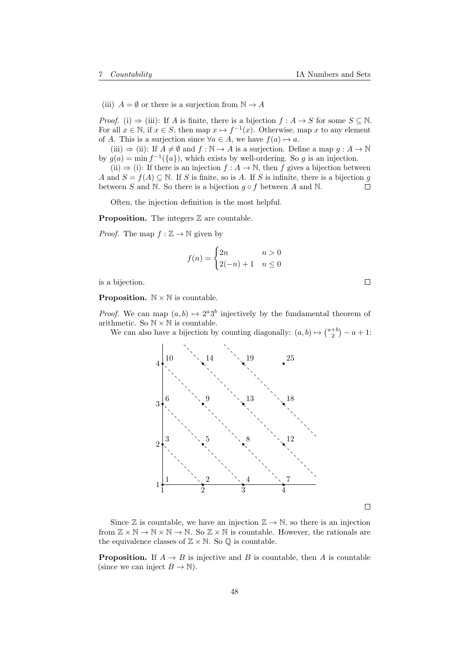(iii)  $A = \emptyset$  or there is a surjection from  $\mathbb{N} \to A$ 

*Proof.* (i)  $\Rightarrow$  (iii): If A is finite, there is a bijection  $f : A \rightarrow S$  for some  $S \subseteq \mathbb{N}$ . For all  $x \in \mathbb{N}$ , if  $x \in S$ , then map  $x \mapsto f^{-1}(x)$ . Otherwise, map x to any element of A. This is a surjection since  $\forall a \in A$ , we have  $f(a) \mapsto a$ .

(iii)  $\Rightarrow$  (ii): If  $A \neq \emptyset$  and  $f : \mathbb{N} \to A$  is a surjection. Define a map  $g : A \to \mathbb{N}$ by  $g(a) = \min f^{-1}(\{a\})$ , which exists by well-ordering. So g is an injection.

(ii)  $\Rightarrow$  (i): If there is an injection  $f : A \to \mathbb{N}$ , then f gives a bijection between A and  $S = f(A) \subseteq \mathbb{N}$ . If S is finite, so is A. If S is infinite, there is a bijection q between S and N. So there is a bijection  $q \circ f$  between A and N.  $\Box$ 

Often, the injection definition is the most helpful.

**Proposition.** The integers  $\mathbb Z$  are countable.

*Proof.* The map  $f : \mathbb{Z} \to \mathbb{N}$  given by

$$
f(n) = \begin{cases} 2n & n > 0 \\ 2(-n) + 1 & n \le 0 \end{cases}
$$

is a bijection.

**Proposition.**  $\mathbb{N} \times \mathbb{N}$  is countable.

*Proof.* We can map  $(a, b) \mapsto 2^a 3^b$  injectively by the fundamental theorem of arithmetic. So  $\mathbb{N} \times \mathbb{N}$  is countable.

We can also have a bijection by counting diagonally:  $(a, b) \mapsto {a+b \choose 2} - a + 1$ :



Since  $\mathbb Z$  is countable, we have an injection  $\mathbb Z \to \mathbb N$ , so there is an injection from  $\mathbb{Z} \times \mathbb{N} \to \mathbb{N} \times \mathbb{N} \to \mathbb{N}$ . So  $\mathbb{Z} \times \mathbb{N}$  is countable. However, the rationals are the equivalence classes of  $\mathbb{Z} \times \mathbb{N}$ . So  $\mathbb{Q}$  is countable.

**Proposition.** If  $A \rightarrow B$  is injective and B is countable, then A is countable (since we can inject  $B \to \mathbb{N}$ ).

 $\Box$ 

 $\Box$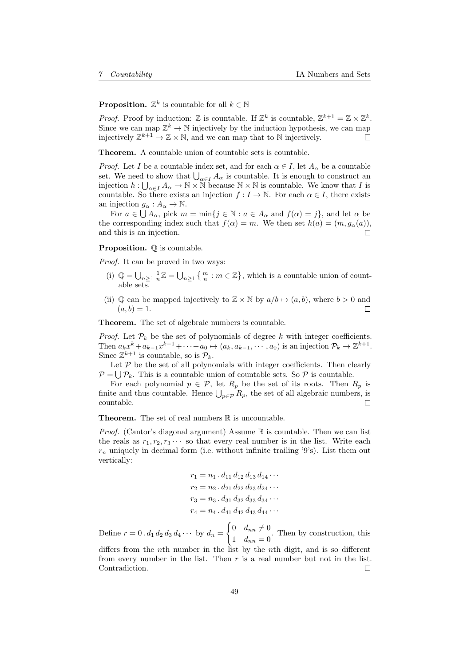**Proposition.**  $\mathbb{Z}^k$  is countable for all  $k \in \mathbb{N}$ 

*Proof.* Proof by induction:  $\mathbb{Z}$  is countable. If  $\mathbb{Z}^k$  is countable,  $\mathbb{Z}^{k+1} = \mathbb{Z} \times \mathbb{Z}^k$ . Since we can map  $\mathbb{Z}^k \to \mathbb{N}$  injectively by the induction hypothesis, we can map injectively  $\mathbb{Z}^{k+1} \to \mathbb{Z} \times \mathbb{N}$ , and we can map that to  $\mathbb N$  injectively.  $\Box$ 

Theorem. A countable union of countable sets is countable.

*Proof.* Let I be a countable index set, and for each  $\alpha \in I$ , let  $A_{\alpha}$  be a countable set. We need to show that  $\bigcup_{\alpha \in I} A_{\alpha}$  is countable. It is enough to construct an injection  $h: \bigcup_{\alpha \in I} A_{\alpha} \to \mathbb{N} \times \mathbb{N}$  because  $\mathbb{N} \times \mathbb{N}$  is countable. We know that I is countable. So there exists an injection  $f: I \to \mathbb{N}$ . For each  $\alpha \in I$ , there exists an injection  $g_{\alpha}: A_{\alpha} \to \mathbb{N}$ .

For  $a \in \bigcup A_\alpha$ , pick  $m = \min\{j \in \mathbb{N} : a \in A_\alpha \text{ and } f(\alpha) = j\}$ , and let  $\alpha$  be the corresponding index such that  $f(\alpha) = m$ . We then set  $h(a) = (m, g_{\alpha}(a))$ , and this is an injection. П

**Proposition.**  $\mathbb{O}$  is countable.

Proof. It can be proved in two ways:

- (i)  $\mathbb{Q} = \bigcup_{n \geq 1} \frac{1}{n} \mathbb{Z} = \bigcup_{n \geq 1} \left\{ \frac{m}{n} : m \in \mathbb{Z} \right\}$ , which is a countable union of countable sets.
- (ii)  $\mathbb Q$  can be mapped injectively to  $\mathbb Z \times \mathbb N$  by  $a/b \mapsto (a, b)$ , where  $b > 0$  and  $\Box$  $(a, b) = 1.$

Theorem. The set of algebraic numbers is countable.

*Proof.* Let  $\mathcal{P}_k$  be the set of polynomials of degree k with integer coefficients. Then  $a_k x^k + a_{k-1} x^{k-1} + \cdots + a_0 \mapsto (a_k, a_{k-1}, \cdots, a_0)$  is an injection  $\mathcal{P}_k \to \mathbb{Z}^{k+1}$ . Since  $\mathbb{Z}^{k+1}$  is countable, so is  $\mathcal{P}_k$ .

Let  $P$  be the set of all polynomials with integer coefficients. Then clearly  $\mathcal{P} = \bigcup \mathcal{P}_k$ . This is a countable union of countable sets. So  $\mathcal{P}$  is countable.

For each polynomial  $p \in \mathcal{P}$ , let  $R_p$  be the set of its roots. Then  $R_p$  is finite and thus countable. Hence  $\bigcup_{p \in \mathcal{P}} R_p$ , the set of all algebraic numbers, is countable.

**Theorem.** The set of real numbers  $\mathbb R$  is uncountable.

*Proof.* (Cantor's diagonal argument) Assume  $\mathbb R$  is countable. Then we can list the reals as  $r_1, r_2, r_3 \cdots$  so that every real number is in the list. Write each  $r_n$  uniquely in decimal form (i.e. without infinite trailing '9's). List them out vertically:

$$
r_1 = n_1 \cdot d_{11} d_{12} d_{13} d_{14} \cdots
$$
  
\n
$$
r_2 = n_2 \cdot d_{21} d_{22} d_{23} d_{24} \cdots
$$
  
\n
$$
r_3 = n_3 \cdot d_{31} d_{32} d_{33} d_{34} \cdots
$$
  
\n
$$
r_4 = n_4 \cdot d_{41} d_{42} d_{43} d_{44} \cdots
$$

Define  $r = 0 \cdot d_1 d_2 d_3 d_4 \cdots$  by  $d_n =$  $\int 0 \quad d_{nn} \neq 0$  $\begin{bmatrix} a_{nn} & b_{nn} \\ 1 & d_{nn} \end{bmatrix}$ . Then by construction, this

differs from the nth number in the list by the nth digit, and is so different from every number in the list. Then  $r$  is a real number but not in the list. Contradiction.  $\Box$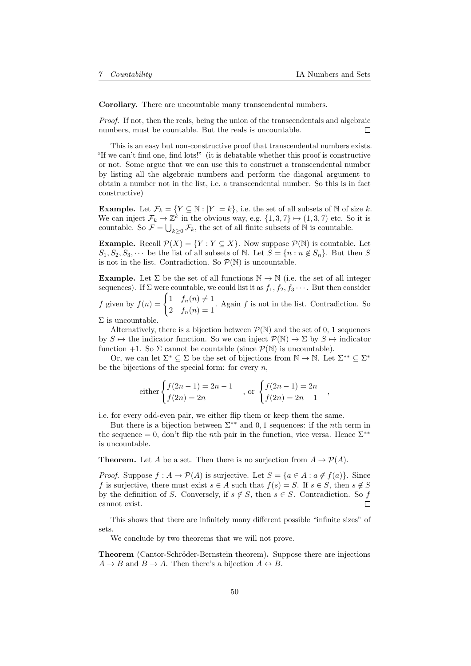Corollary. There are uncountable many transcendental numbers.

Proof. If not, then the reals, being the union of the transcendentals and algebraic numbers, must be countable. But the reals is uncountable. П

This is an easy but non-constructive proof that transcendental numbers exists. "If we can't find one, find lots!" (it is debatable whether this proof is constructive or not. Some argue that we can use this to construct a transcendental number by listing all the algebraic numbers and perform the diagonal argument to obtain a number not in the list, i.e. a transcendental number. So this is in fact constructive)

**Example.** Let  $\mathcal{F}_k = \{ Y \subseteq \mathbb{N} : |Y| = k \}$ , i.e. the set of all subsets of N of size k. We can inject  $\mathcal{F}_k \to \mathbb{Z}^k$  in the obvious way, e.g.  $\{1,3,7\} \mapsto (1,3,7)$  etc. So it is countable. So  $\mathcal{F} = \bigcup_{k \geq 0} \mathcal{F}_k$ , the set of all finite subsets of N is countable.

**Example.** Recall  $\mathcal{P}(X) = \{Y : Y \subseteq X\}$ . Now suppose  $\mathcal{P}(\mathbb{N})$  is countable. Let  $S_1, S_2, S_3, \cdots$  be the list of all subsets of N. Let  $S = \{n : n \notin S_n\}$ . But then S is not in the list. Contradiction. So  $\mathcal{P}(\mathbb{N})$  is uncountable.

**Example.** Let  $\Sigma$  be the set of all functions  $\mathbb{N} \to \mathbb{N}$  (i.e. the set of all integer sequences). If  $\Sigma$  were countable, we could list it as  $f_1, f_2, f_3 \cdots$ . But then consider f given by  $f(n) = \begin{cases} 1 & f_n(n) \neq 1 \\ 0 & f_n(n) \end{cases}$  $\int_{0}^{1} f_n(n) dx = 1$ . Again f is not in the list. Contradiction. So

 $\Sigma$  is uncountable.

Alternatively, there is a bijection between  $\mathcal{P}(\mathbb{N})$  and the set of 0, 1 sequences by  $S \mapsto$  the indicator function. So we can inject  $\mathcal{P}(\mathbb{N}) \to \Sigma$  by  $S \mapsto$  indicator function +1. So  $\Sigma$  cannot be countable (since  $\mathcal{P}(\mathbb{N})$  is uncountable).

Or, we can let  $\Sigma^* \subseteq \Sigma$  be the set of bijections from  $\mathbb{N} \to \mathbb{N}$ . Let  $\Sigma^{**} \subseteq \Sigma^*$ be the bijections of the special form: for every  $n$ ,

either 
$$
\begin{cases} f(2n-1) = 2n - 1 \\ f(2n) = 2n \end{cases}
$$
, or 
$$
\begin{cases} f(2n-1) = 2n \\ f(2n) = 2n - 1 \end{cases}
$$
,

i.e. for every odd-even pair, we either flip them or keep them the same.

But there is a bijection between  $\Sigma^{**}$  and 0, 1 sequences: if the *n*th term in the sequence = 0, don't flip the *n*th pair in the function, vice versa. Hence  $\Sigma^{**}$ is uncountable.

**Theorem.** Let A be a set. Then there is no surjection from  $A \to \mathcal{P}(A)$ .

*Proof.* Suppose  $f : A \to \mathcal{P}(A)$  is surjective. Let  $S = \{a \in A : a \notin f(a)\}\$ . Since f is surjective, there must exist  $s \in A$  such that  $f(s) = S$ . If  $s \in S$ , then  $s \notin S$ by the definition of S. Conversely, if  $s \notin S$ , then  $s \in S$ . Contradiction. So f cannot exist. П

This shows that there are infinitely many different possible "infinite sizes" of sets.

We conclude by two theorems that we will not prove.

**Theorem** (Cantor-Schröder-Bernstein theorem). Suppose there are injections  $A \rightarrow B$  and  $B \rightarrow A$ . Then there's a bijection  $A \leftrightarrow B$ .